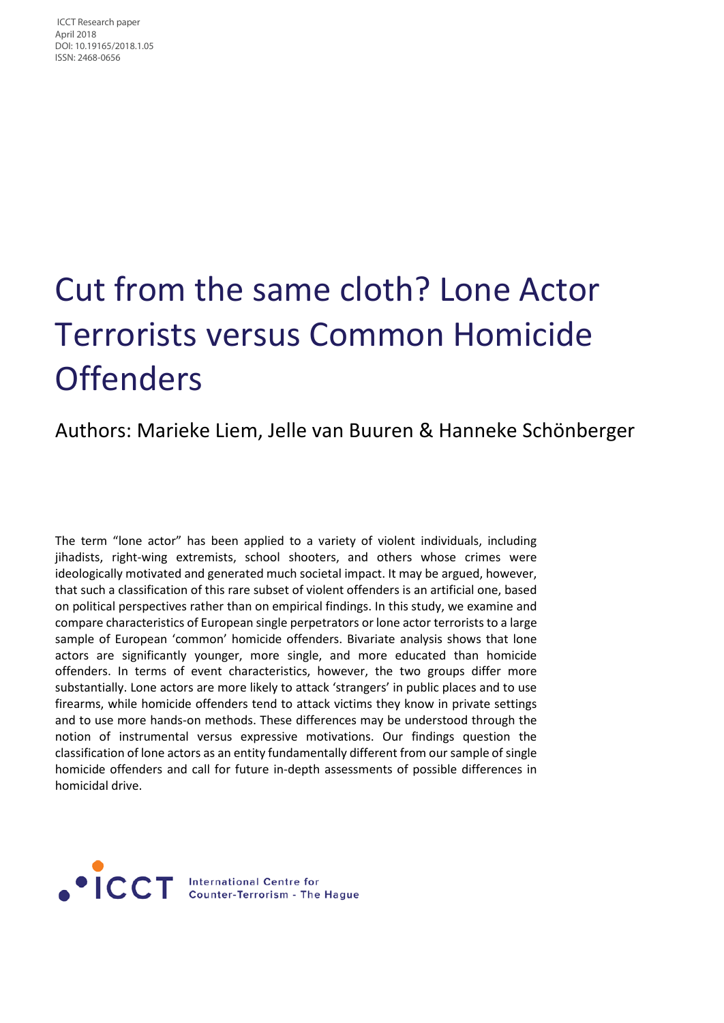ICCT Research paper April 2018 DOI: 10.19165/2018.1.05 ISSN: 2468‐0656

# Cut from the same cloth? Lone Actor Terrorists versus Common Homicide **Offenders**

## Authors: Marieke Liem, Jelle van Buuren & Hanneke Schönberger

The term "lone actor" has been applied to a variety of violent individuals, including jihadists, right-wing extremists, school shooters, and others whose crimes were ideologically motivated and generated much societal impact. It may be argued, however, that such a classification of this rare subset of violent offenders is an artificial one, based on political perspectives rather than on empirical findings. In this study, we examine and compare characteristics of European single perpetrators or lone actor terrorists to a large sample of European 'common' homicide offenders. Bivariate analysis shows that lone actors are significantly younger, more single, and more educated than homicide offenders. In terms of event characteristics, however, the two groups differ more substantially. Lone actors are more likely to attack 'strangers' in public places and to use firearms, while homicide offenders tend to attack victims they know in private settings and to use more hands-on methods. These differences may be understood through the notion of instrumental versus expressive motivations. Our findings question the classification of lone actors as an entity fundamentally different from our sample of single homicide offenders and call for future in-depth assessments of possible differences in homicidal drive.

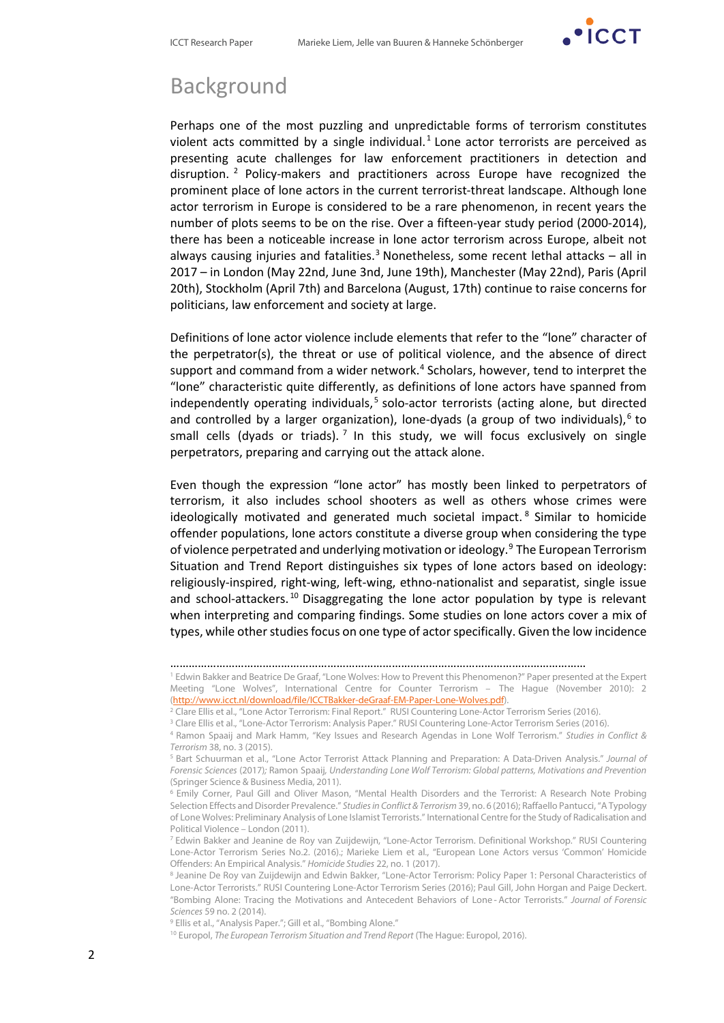

## Background

Perhaps one of the most puzzling and unpredictable forms of terrorism constitutes violent acts committed by a single individual.<sup>[1](#page-1-0)</sup> Lone actor terrorists are perceived as presenting acute challenges for law enforcement practitioners in detection and disruption. [2](#page-1-1) Policy-makers and practitioners across Europe have recognized the prominent place of lone actors in the current terrorist-threat landscape. Although lone actor terrorism in Europe is considered to be a rare phenomenon, in recent years the number of plots seems to be on the rise. Over a fifteen-year study period (2000-2014), there has been a noticeable increase in lone actor terrorism across Europe, albeit not always causing injuries and fatalities.<sup>[3](#page-1-2)</sup> Nonetheless, some recent lethal attacks – all in 2017 – in London (May 22nd, June 3nd, June 19th), Manchester (May 22nd), Paris (April 20th), Stockholm (April 7th) and Barcelona (August, 17th) continue to raise concerns for politicians, law enforcement and society at large.

Definitions of lone actor violence include elements that refer to the "lone" character of the perpetrator(s), the threat or use of political violence, and the absence of direct support and command from a wider network.<sup>[4](#page-1-3)</sup> Scholars, however, tend to interpret the "lone" characteristic quite differently, as definitions of lone actors have spanned from independently operating individuals, [5](#page-1-4) solo-actor terrorists (acting alone, but directed and controlled by a larger organization), lone-dyads (a group of two individuals),<sup>[6](#page-1-5)</sup> to small cells (dyads or triads).<sup>[7](#page-1-6)</sup> In this study, we will focus exclusively on single perpetrators, preparing and carrying out the attack alone.

Even though the expression "lone actor" has mostly been linked to perpetrators of terrorism, it also includes school shooters as well as others whose crimes were ideologically motivated and generated much societal impact. [8](#page-1-7) Similar to homicide offender populations, lone actors constitute a diverse group when considering the type of violence perpetrated and underlying motivation or ideology.[9](#page-1-8) The European Terrorism Situation and Trend Report distinguishes six types of lone actors based on ideology: religiously-inspired, right-wing, left-wing, ethno-nationalist and separatist, single issue and school-attackers.<sup>[10](#page-1-9)</sup> Disaggregating the lone actor population by type is relevant when interpreting and comparing findings. Some studies on lone actors cover a mix of types, while other studies focus on one type of actor specifically. Given the low incidence

<sup>………………………………………………………………………………………………………………………</sup>

<span id="page-1-0"></span><sup>1</sup> Edwin Bakker and Beatrice De Graaf, "Lone Wolves: How to Prevent this Phenomenon?" Paper presented at the Expert Meeting "Lone Wolves", International Centre for Counter Terrorism – The Hague (November 2010): 2 [\(http://www.icct.nl/download/file/ICCTBakker-deGraaf-EM-Paper-Lone-Wolves.pdf\).](http://www.icct.nl/download/file/ICCTBakker-deGraaf-EM-Paper-Lone-Wolves.pdf)

<span id="page-1-2"></span><span id="page-1-1"></span><sup>&</sup>lt;sup>2</sup> Clare Ellis et al., "Lone Actor Terrorism: Final Report." RUSI Countering Lone-Actor Terrorism Series (2016).

<sup>3</sup> Clare Ellis et al., "Lone-Actor Terrorism: Analysis Paper." RUSI Countering Lone-Actor Terrorism Series (2016).

<sup>4</sup> Ramon Spaaij and Mark Hamm, "Key Issues and Research Agendas in Lone Wolf Terrorism." *Studies in Conflict & Terrorism* 38, no. 3 (2015).

<span id="page-1-4"></span><span id="page-1-3"></span><sup>5</sup> Bart Schuurman et al., "Lone Actor Terrorist Attack Planning and Preparation: A Data-Driven Analysis." *Journal of Forensic Sciences* (2017)*;* Ramon Spaaij*, Understanding Lone Wolf Terrorism: Global patterns, Motivations and Prevention* (Springer Science & Business Media, 2011).

<span id="page-1-5"></span><sup>6</sup> Emily Corner, Paul Gill and Oliver Mason, "Mental Health Disorders and the Terrorist: A Research Note Probing Selection Effects and Disorder Prevalence." *Studies in Conflict & Terrorism* 39, no. 6 (2016); Raffaello Pantucci, "A Typology of Lone Wolves: Preliminary Analysis of Lone Islamist Terrorists." International Centre for the Study of Radicalisation and Political Violence – London (2011).

<span id="page-1-6"></span><sup>7</sup> Edwin Bakker and Jeanine de Roy van Zuijdewijn, "Lone-Actor Terrorism. Definitional Workshop." RUSI Countering Lone-Actor Terrorism Series No.2. (2016).; Marieke Liem et al., "European Lone Actors versus 'Common' Homicide Offenders: An Empirical Analysis." *Homicide Studies* 22, no. 1 (2017).

<span id="page-1-7"></span><sup>8</sup> Jeanine De Roy van Zuijdewijn and Edwin Bakker, "Lone-Actor Terrorism: Policy Paper 1: Personal Characteristics of Lone-Actor Terrorists." RUSI Countering Lone-Actor Terrorism Series (2016); Paul Gill, John Horgan and Paige Deckert. "Bombing Alone: Tracing the Motivations and Antecedent Behaviors of Lone‐Actor Terrorists." *Journal of Forensic Sciences* 59 no. 2 (2014).

<span id="page-1-9"></span><span id="page-1-8"></span><sup>&</sup>lt;sup>9</sup> Ellis et al., "Analysis Paper."; Gill et al., "Bombing Alone."

<sup>10</sup> Europol, *The European Terrorism Situation and Trend Report* (The Hague: Europol, 2016).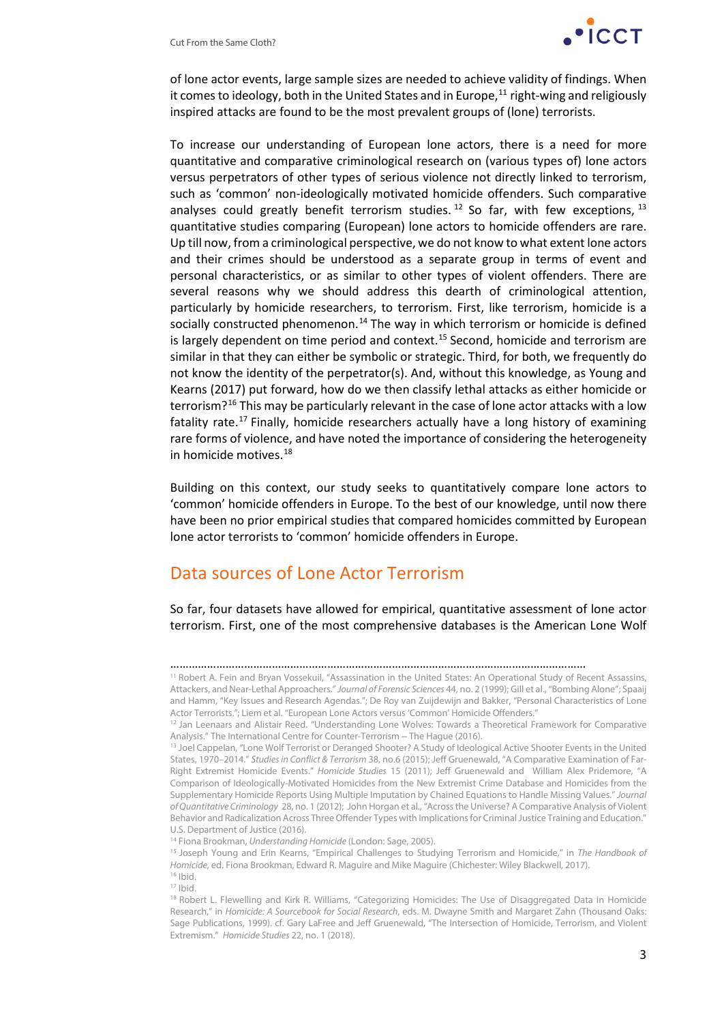

of lone actor events, large sample sizes are needed to achieve validity of findings. When it comes to ideology, both in the United States and in Europe,<sup>[11](#page-2-0)</sup> right-wing and religiously inspired attacks are found to be the most prevalent groups of (lone) terrorists.

To increase our understanding of European lone actors, there is a need for more quantitative and comparative criminological research on (various types of) lone actors versus perpetrators of other types of serious violence not directly linked to terrorism, such as 'common' non-ideologically motivated homicide offenders. Such comparative analyses could greatly benefit terrorism studies.<sup>[12](#page-2-1)</sup> So far, with few exceptions,  $13$ quantitative studies comparing (European) lone actors to homicide offenders are rare. Up till now, from a criminological perspective, we do not know to what extent lone actors and their crimes should be understood as a separate group in terms of event and personal characteristics, or as similar to other types of violent offenders. There are several reasons why we should address this dearth of criminological attention, particularly by homicide researchers, to terrorism. First, like terrorism, homicide is a socially constructed phenomenon.<sup>[14](#page-2-3)</sup> The way in which terrorism or homicide is defined is largely dependent on time period and context. [15](#page-2-4) Second, homicide and terrorism are similar in that they can either be symbolic or strategic. Third, for both, we frequently do not know the identity of the perpetrator(s). And, without this knowledge, as Young and Kearns (2017) put forward, how do we then classify lethal attacks as either homicide or terrorism?[16](#page-2-5) This may be particularly relevant in the case of lone actor attacks with a low fatality rate.[17](#page-2-6) Finally, homicide researchers actually have a long history of examining rare forms of violence, and have noted the importance of considering the heterogeneity in homicide motives.<sup>[18](#page-2-7)</sup>

Building on this context, our study seeks to quantitatively compare lone actors to 'common' homicide offenders in Europe. To the best of our knowledge, until now there have been no prior empirical studies that compared homicides committed by European lone actor terrorists to 'common' homicide offenders in Europe.

## Data sources of Lone Actor Terrorism

So far, four datasets have allowed for empirical, quantitative assessment of lone actor terrorism. First, one of the most comprehensive databases is the American Lone Wolf

<sup>17</sup> Ibid.

<sup>………………………………………………………………………………………………………………………</sup>

<span id="page-2-0"></span><sup>11</sup> Robert A. Fein and Bryan Vossekuil, "Assassination in the United States: An Operational Study of Recent Assassins, Attackers, and Near-Lethal Approachers." *Journal of Forensic Sciences* 44, no. 2 (1999); Gill et al., "Bombing Alone"; Spaaij and Hamm, "Key Issues and Research Agendas."; De Roy van Zuijdewijn and Bakker, "Personal Characteristics of Lone

<span id="page-2-1"></span>Actor Terrorists."; Liem et al. "European Lone Actors versus 'Common' Homicide Offenders."<br><sup>12</sup> Jan Leenaars and Alistair Reed. "Understanding Lone Wolves: Towards a Theoretical Framework for Comparative Analysis." The International Centre for Counter-Terrorism – The Hague (2016).

<span id="page-2-2"></span><sup>&</sup>lt;sup>13</sup> Joel Cappelan, "Lone Wolf Terrorist or Deranged Shooter? A Study of Ideological Active Shooter Events in the United States, 1970–2014." *Studies in Conflict & Terrorism* 38, no.6 (2015); Jeff Gruenewald, "A Comparative Examination of Far-Right Extremist Homicide Events." *Homicide Studies* 15 (2011); Jeff Gruenewald and William Alex Pridemore, "A Comparison of Ideologically-Motivated Homicides from the New Extremist Crime Database and Homicides from the Supplementary Homicide Reports Using Multiple Imputation by Chained Equations to Handle Missing Values." *Journal of Quantitative Criminology* 28, no. 1 (2012); John Horgan et al., "Across the Universe? A Comparative Analysis of Violent Behavior and Radicalization Across Three Offender Types with Implications for Criminal Justice Training and Education." U.S. Department of Justice (2016).

<sup>14</sup> Fiona Brookman, *Understanding Homicide* (London: Sage, 2005).

<span id="page-2-5"></span><span id="page-2-4"></span><span id="page-2-3"></span><sup>15</sup> Joseph Young and Erin Kearns, "Empirical Challenges to Studying Terrorism and Homicide," in *The Handbook of Homicide*, ed. Fiona Brookman, Edward R. Maguire and Mike Maguire (Chichester: Wiley Blackwell, 2017). <sup>16</sup> Ibid.

<span id="page-2-7"></span><span id="page-2-6"></span><sup>&</sup>lt;sup>18</sup> Robert L. Flewelling and Kirk R. Williams, "Categorizing Homicides: The Use of Disaggregated Data in Homicide Research," in *Homicide: A Sourcebook for Social Research*, eds. M. Dwayne Smith and Margaret Zahn (Thousand Oaks: Sage Publications, 1999). cf. Gary LaFree and Jeff Gruenewald, "The Intersection of Homicide, Terrorism, and Violent Extremism." *Homicide Studies* 22, no. 1 (2018).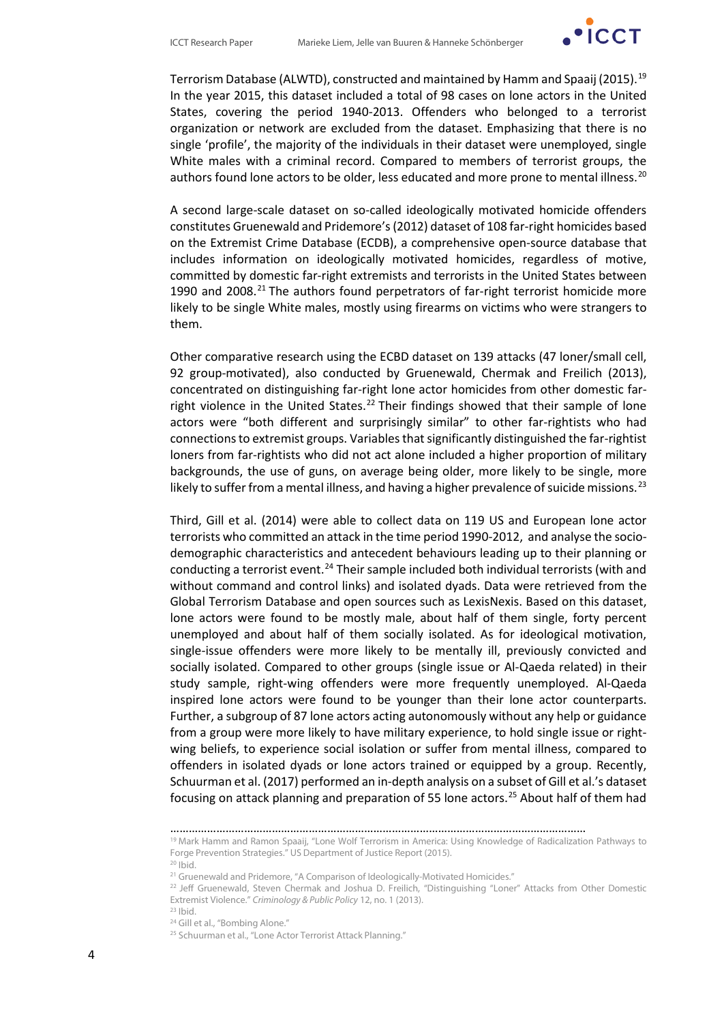

Terrorism Database (ALWTD), constructed and maintained by Hamm and Spaaij (2015).[19](#page-3-0) In the year 2015, this dataset included a total of 98 cases on lone actors in the United States, covering the period 1940-2013. Offenders who belonged to a terrorist organization or network are excluded from the dataset. Emphasizing that there is no single 'profile', the majority of the individuals in their dataset were unemployed, single White males with a criminal record. Compared to members of terrorist groups, the authors found lone actors to be older, less educated and more prone to mental illness.<sup>[20](#page-3-1)</sup>

A second large-scale dataset on so-called ideologically motivated homicide offenders constitutes Gruenewald and Pridemore's (2012) dataset of 108 far-right homicides based on the Extremist Crime Database (ECDB), a comprehensive open-source database that includes information on ideologically motivated homicides, regardless of motive, committed by domestic far-right extremists and terrorists in the United States between 1990 and 2008. $^{21}$  $^{21}$  $^{21}$  The authors found perpetrators of far-right terrorist homicide more likely to be single White males, mostly using firearms on victims who were strangers to them.

Other comparative research using the ECBD dataset on 139 attacks (47 loner/small cell, 92 group-motivated), also conducted by Gruenewald, Chermak and Freilich (2013), concentrated on distinguishing far-right lone actor homicides from other domestic far-right violence in the United States.<sup>[22](#page-3-3)</sup> Their findings showed that their sample of lone actors were "both different and surprisingly similar" to other far-rightists who had connections to extremist groups. Variables that significantly distinguished the far-rightist loners from far-rightists who did not act alone included a higher proportion of military backgrounds, the use of guns, on average being older, more likely to be single, more likely to suffer from a mental illness, and having a higher prevalence of suicide missions.<sup>[23](#page-3-4)</sup>

Third, Gill et al. (2014) were able to collect data on 119 US and European lone actor terrorists who committed an attack in the time period 1990-2012, and analyse the sociodemographic characteristics and antecedent behaviours leading up to their planning or conducting a terrorist event.<sup>[24](#page-3-5)</sup> Their sample included both individual terrorists (with and without command and control links) and isolated dyads. Data were retrieved from the Global Terrorism Database and open sources such as LexisNexis. Based on this dataset, lone actors were found to be mostly male, about half of them single, forty percent unemployed and about half of them socially isolated. As for ideological motivation, single-issue offenders were more likely to be mentally ill, previously convicted and socially isolated. Compared to other groups (single issue or Al-Qaeda related) in their study sample, right-wing offenders were more frequently unemployed. Al-Qaeda inspired lone actors were found to be younger than their lone actor counterparts. Further, a subgroup of 87 lone actors acting autonomously without any help or guidance from a group were more likely to have military experience, to hold single issue or rightwing beliefs, to experience social isolation or suffer from mental illness, compared to offenders in isolated dyads or lone actors trained or equipped by a group. Recently, Schuurman et al. (2017) performed an in-depth analysis on a subset of Gill et al.'s dataset focusing on attack planning and preparation of 55 lone actors.<sup>[25](#page-3-6)</sup> About half of them had

 $20$  Ibid.

 $23$  Ibid.

<sup>………………………………………………………………………………………………………………………</sup>

<span id="page-3-1"></span><span id="page-3-0"></span><sup>19</sup> Mark Hamm and Ramon Spaaij, "Lone Wolf Terrorism in America: Using Knowledge of Radicalization Pathways to Forge Prevention Strategies." US Department of Justice Report (2015).

<span id="page-3-5"></span><span id="page-3-4"></span><span id="page-3-3"></span><span id="page-3-2"></span><sup>&</sup>lt;sup>21</sup> Gruenewald and Pridemore, "A Comparison of Ideologically-Motivated Homicides."  $22$  Jeff Gruenewald, Steven Chermak and Joshua D. Freilich, "Distinguishing "Loner" Attacks from Other Domestic Extremist Violence." *Criminology & Public Policy* 12, no. 1 (2013).

<sup>&</sup>lt;sup>24</sup> Gill et al., "Bombing Alone."

<span id="page-3-6"></span><sup>25</sup> Schuurman et al., "Lone Actor Terrorist Attack Planning."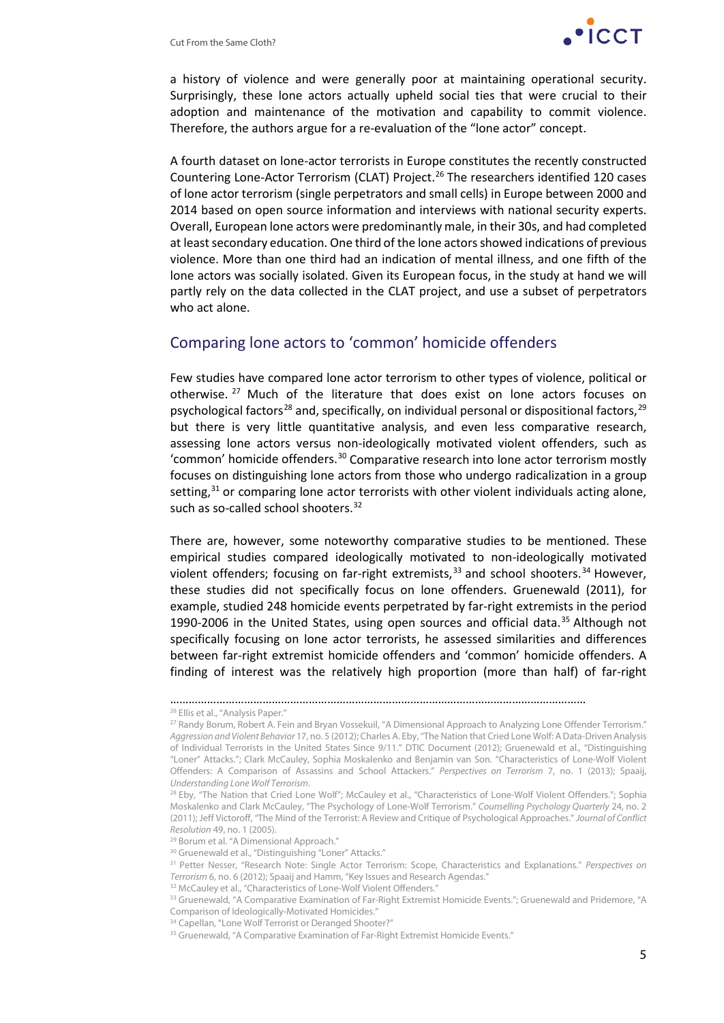

a history of violence and were generally poor at maintaining operational security. Surprisingly, these lone actors actually upheld social ties that were crucial to their adoption and maintenance of the motivation and capability to commit violence. Therefore, the authors argue for a re-evaluation of the "lone actor" concept.

A fourth dataset on lone-actor terrorists in Europe constitutes the recently constructed Countering Lone-Actor Terrorism (CLAT) Project.<sup>[26](#page-4-0)</sup> The researchers identified 120 cases of lone actor terrorism (single perpetrators and small cells) in Europe between 2000 and 2014 based on open source information and interviews with national security experts. Overall, European lone actors were predominantly male, in their 30s, and had completed at least secondary education. One third of the lone actors showed indications of previous violence. More than one third had an indication of mental illness, and one fifth of the lone actors was socially isolated. Given its European focus, in the study at hand we will partly rely on the data collected in the CLAT project, and use a subset of perpetrators who act alone.

#### Comparing lone actors to 'common' homicide offenders

Few studies have compared lone actor terrorism to other types of violence, political or otherwise. [27](#page-4-1) Much of the literature that does exist on lone actors focuses on psychological factors<sup>[28](#page-4-2)</sup> and, specifically, on individual personal or dispositional factors,<sup>[29](#page-4-3)</sup> but there is very little quantitative analysis, and even less comparative research, assessing lone actors versus non-ideologically motivated violent offenders, such as 'common' homicide offenders. [30](#page-4-4) Comparative research into lone actor terrorism mostly focuses on distinguishing lone actors from those who undergo radicalization in a group setting,<sup>[31](#page-4-5)</sup> or comparing lone actor terrorists with other violent individuals acting alone, such as so-called school shooters.<sup>[32](#page-4-6)</sup>

There are, however, some noteworthy comparative studies to be mentioned. These empirical studies compared ideologically motivated to non-ideologically motivated violent offenders; focusing on far-right extremists,<sup>[33](#page-4-7)</sup> and school shooters.<sup>[34](#page-4-8)</sup> However, these studies did not specifically focus on lone offenders. Gruenewald (2011), for example, studied 248 homicide events perpetrated by far-right extremists in the period 1990-2006 in the United States, using open sources and official data.<sup>[35](#page-4-9)</sup> Although not specifically focusing on lone actor terrorists, he assessed similarities and differences between far-right extremist homicide offenders and 'common' homicide offenders. A finding of interest was the relatively high proportion (more than half) of far-right

<sup>………………………………………………………………………………………………………………………</sup>

<sup>26</sup> Ellis et al., "Analysis Paper."

<span id="page-4-1"></span><span id="page-4-0"></span><sup>&</sup>lt;sup>27</sup> Randy Borum, Robert A. Fein and Bryan Vossekuil, "A Dimensional Approach to Analyzing Lone Offender Terrorism." *Aggression and Violent Behavior* 17, no. 5 (2012); Charles A. Eby, "The Nation that Cried Lone Wolf: A Data-Driven Analysis of Individual Terrorists in the United States Since 9/11." DTIC Document (2012); Gruenewald et al., "Distinguishing "Loner" Attacks."; Clark McCauley, Sophia Moskalenko and Benjamin van Son. "Characteristics of Lone-Wolf Violent Offenders: A Comparison of Assassins and School Attackers." *Perspectives on Terrorism* 7, no. 1 (2013); Spaaij, *Understanding Lone Wolf Terrorism*.

<span id="page-4-2"></span><sup>&</sup>lt;sup>28</sup> Eby, "The Nation that Cried Lone Wolf"; McCauley et al., "Characteristics of Lone-Wolf Violent Offenders."; Sophia Moskalenko and Clark McCauley, "The Psychology of Lone-Wolf Terrorism." *Counselling Psychology Quarterly* 24, no. 2 (2011); Jeff Victoroff, "The Mind of the Terrorist: A Review and Critique of Psychological Approaches." *Journal of Conflict Resolution* 49, no. 1 (2005).

<span id="page-4-3"></span><sup>&</sup>lt;sup>29</sup> Borum et al. "A Dimensional Approach."

<span id="page-4-4"></span><sup>&</sup>lt;sup>30</sup> Gruenewald et al., "Distinguishing "Loner" Attacks."

<span id="page-4-5"></span><sup>31</sup> Petter Nesser, "Research Note: Single Actor Terrorism: Scope, Characteristics and Explanations." *Perspectives on Terrorism* 6, no. 6 (2012); Spaaij and Hamm, "Key Issues and Research Agendas."

<span id="page-4-6"></span><sup>&</sup>lt;sup>32</sup> McCauley et al., "Characteristics of Lone-Wolf Violent Offenders."

<span id="page-4-7"></span><sup>&</sup>lt;sup>33</sup> Gruenewald, "A Comparative Examination of Far-Right Extremist Homicide Events."; Gruenewald and Pridemore, "A Comparison of Ideologically-Motivated Homicides."<br><sup>34</sup> Capellan, "Lone Wolf Terrorist or Deranged Shooter?"

<span id="page-4-9"></span><span id="page-4-8"></span><sup>&</sup>lt;sup>35</sup> Gruenewald, "A Comparative Examination of Far-Right Extremist Homicide Events."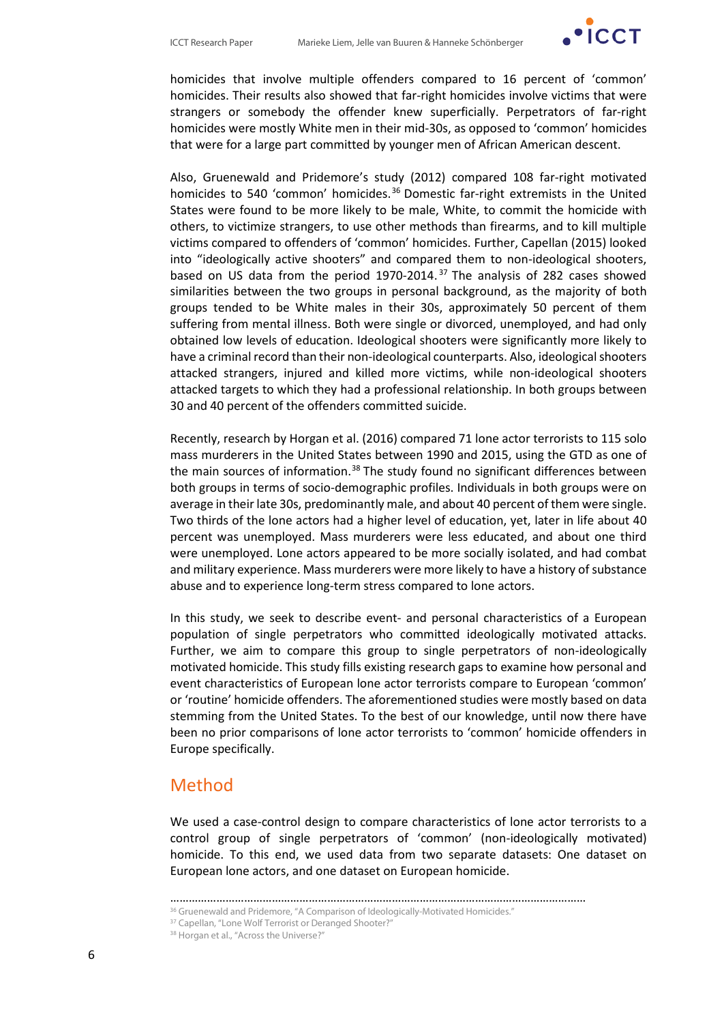

homicides that involve multiple offenders compared to 16 percent of 'common' homicides. Their results also showed that far-right homicides involve victims that were strangers or somebody the offender knew superficially. Perpetrators of far-right homicides were mostly White men in their mid-30s, as opposed to 'common' homicides that were for a large part committed by younger men of African American descent.

Also, Gruenewald and Pridemore's study (2012) compared 108 far-right motivated homicides to 540 'common' homicides.[36](#page-5-0) Domestic far-right extremists in the United States were found to be more likely to be male, White, to commit the homicide with others, to victimize strangers, to use other methods than firearms, and to kill multiple victims compared to offenders of 'common' homicides. Further, Capellan (2015) looked into "ideologically active shooters" and compared them to non-ideological shooters, based on US data from the period 1970-2014. [37](#page-5-1) The analysis of 282 cases showed similarities between the two groups in personal background, as the majority of both groups tended to be White males in their 30s, approximately 50 percent of them suffering from mental illness. Both were single or divorced, unemployed, and had only obtained low levels of education. Ideological shooters were significantly more likely to have a criminal record than their non-ideological counterparts. Also, ideological shooters attacked strangers, injured and killed more victims, while non-ideological shooters attacked targets to which they had a professional relationship. In both groups between 30 and 40 percent of the offenders committed suicide.

Recently, research by Horgan et al. (2016) compared 71 lone actor terrorists to 115 solo mass murderers in the United States between 1990 and 2015, using the GTD as one of the main sources of information.<sup>[38](#page-5-2)</sup> The study found no significant differences between both groups in terms of socio-demographic profiles. Individuals in both groups were on average in their late 30s, predominantly male, and about 40 percent of them were single. Two thirds of the lone actors had a higher level of education, yet, later in life about 40 percent was unemployed. Mass murderers were less educated, and about one third were unemployed. Lone actors appeared to be more socially isolated, and had combat and military experience. Mass murderers were more likely to have a history of substance abuse and to experience long-term stress compared to lone actors.

In this study, we seek to describe event- and personal characteristics of a European population of single perpetrators who committed ideologically motivated attacks. Further, we aim to compare this group to single perpetrators of non-ideologically motivated homicide. This study fills existing research gaps to examine how personal and event characteristics of European lone actor terrorists compare to European 'common' or 'routine' homicide offenders. The aforementioned studies were mostly based on data stemming from the United States. To the best of our knowledge, until now there have been no prior comparisons of lone actor terrorists to 'common' homicide offenders in Europe specifically.

### Method

We used a case-control design to compare characteristics of lone actor terrorists to a control group of single perpetrators of 'common' (non-ideologically motivated) homicide. To this end, we used data from two separate datasets: One dataset on European lone actors, and one dataset on European homicide.

<sup>………………………………………………………………………………………………………………………</sup>

<span id="page-5-1"></span><span id="page-5-0"></span><sup>&</sup>lt;sup>36</sup> Gruenewald and Pridemore, "A Comparison of Ideologically-Motivated Homicides." <sup>37</sup> Capellan, "Lone Wolf Terrorist or Deranged Shooter?"

<span id="page-5-2"></span>

<sup>38</sup> Horgan et al., "Across the Universe?"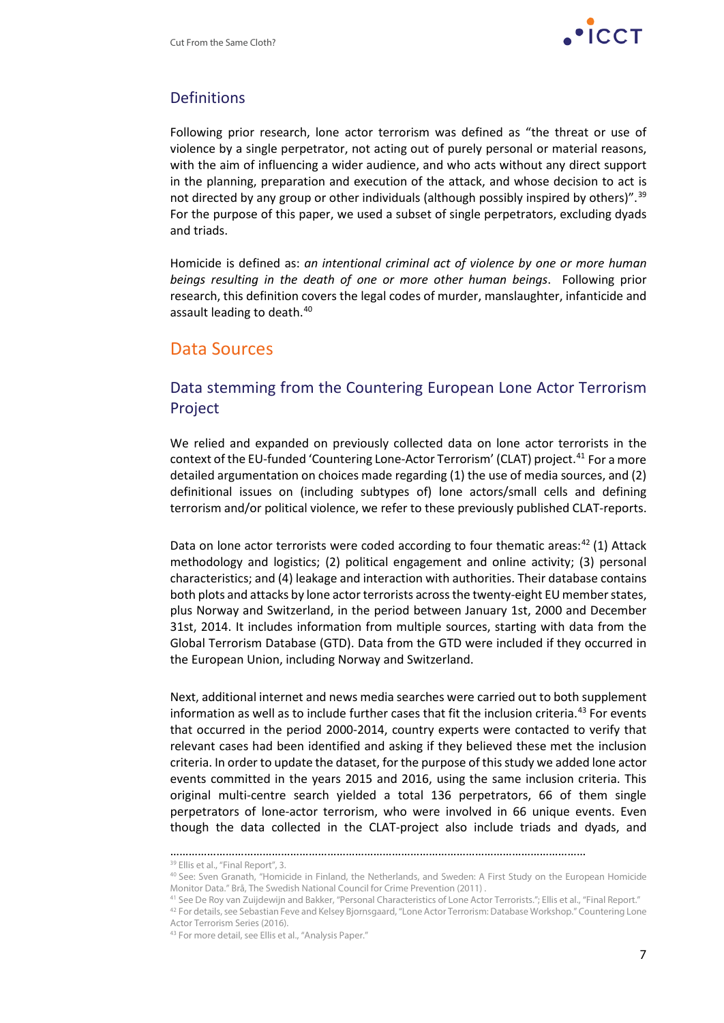

## Definitions

Following prior research, lone actor terrorism was defined as "the threat or use of violence by a single perpetrator, not acting out of purely personal or material reasons, with the aim of influencing a wider audience, and who acts without any direct support in the planning, preparation and execution of the attack, and whose decision to act is not directed by any group or other individuals (although possibly inspired by others)".<sup>[39](#page-6-0)</sup> For the purpose of this paper, we used a subset of single perpetrators, excluding dyads and triads.

Homicide is defined as: *an intentional criminal act of violence by one or more human beings resulting in the death of one or more other human beings*. Following prior research, this definition covers the legal codes of murder, manslaughter, infanticide and assault leading to death.[40](#page-6-1)

## Data Sources

## Data stemming from the Countering European Lone Actor Terrorism Project

We relied and expanded on previously collected data on lone actor terrorists in the context of the EU-funded 'Countering Lone-Actor Terrorism' (CLAT) project.<sup>[41](#page-6-2)</sup> For a more detailed argumentation on choices made regarding (1) the use of media sources, and (2) definitional issues on (including subtypes of) lone actors/small cells and defining terrorism and/or political violence, we refer to these previously published CLAT-reports.

Data on lone actor terrorists were coded according to four thematic areas:<sup>[42](#page-6-3)</sup> (1) Attack methodology and logistics; (2) political engagement and online activity; (3) personal characteristics; and (4) leakage and interaction with authorities. Their database contains both plots and attacks by lone actor terrorists across the twenty-eight EU member states, plus Norway and Switzerland, in the period between January 1st, 2000 and December 31st, 2014. It includes information from multiple sources, starting with data from the Global Terrorism Database (GTD). Data from the GTD were included if they occurred in the European Union, including Norway and Switzerland.

Next, additional internet and news media searches were carried out to both supplement information as well as to include further cases that fit the inclusion criteria. [43](#page-6-4) For events that occurred in the period 2000-2014, country experts were contacted to verify that relevant cases had been identified and asking if they believed these met the inclusion criteria. In order to update the dataset, for the purpose of this study we added lone actor events committed in the years 2015 and 2016, using the same inclusion criteria. This original multi-centre search yielded a total 136 perpetrators, 66 of them single perpetrators of lone-actor terrorism, who were involved in 66 unique events. Even though the data collected in the CLAT-project also include triads and dyads, and

<sup>………………………………………………………………………………………………………………………</sup>

<span id="page-6-0"></span><sup>&</sup>lt;sup>39</sup> Ellis et al., "Final Report", 3.

<sup>40</sup> See: Sven Granath, "Homicide in Finland, the Netherlands, and Sweden: A First Study on the European Homicide Monitor Data." Brå, The Swedish National Council for Crime Prevention (2011) .

<sup>&</sup>lt;sup>41</sup> See De Roy van Zuijdewijn and Bakker, "Personal Characteristics of Lone Actor Terrorists."; Ellis et al., "Final Report."

<span id="page-6-4"></span><span id="page-6-3"></span><span id="page-6-2"></span><span id="page-6-1"></span><sup>42</sup> For details, see Sebastian Feve and Kelsey Bjornsgaard, "Lone Actor Terrorism: Database Workshop." Countering Lone Actor Terrorism Series (2016).

<sup>43</sup> For more detail, see Ellis et al., "Analysis Paper."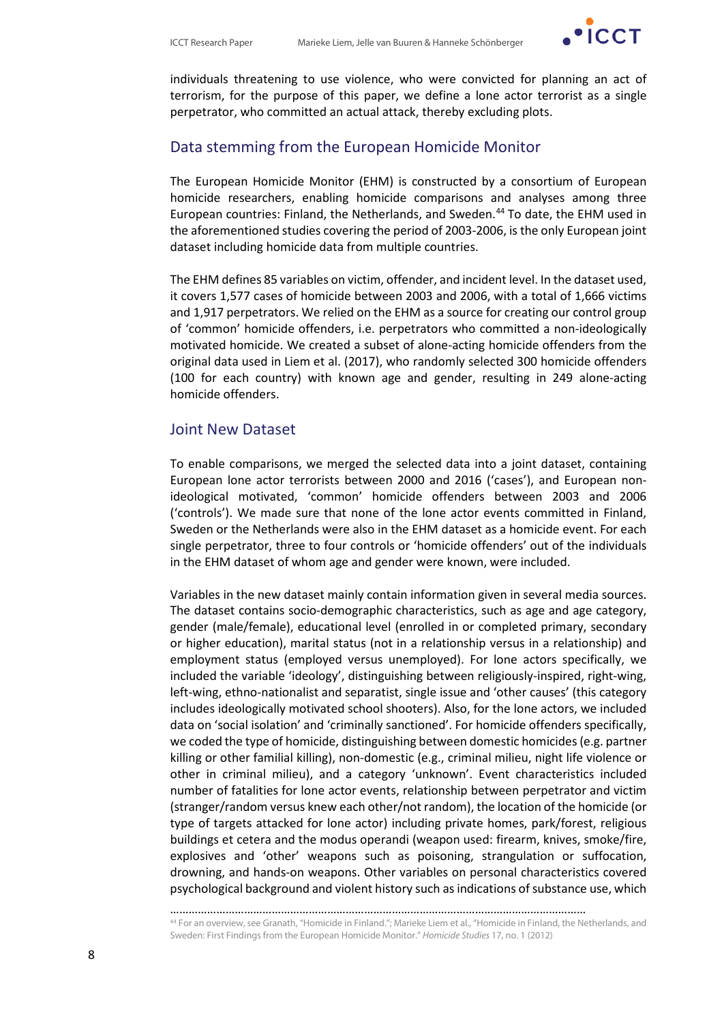

individuals threatening to use violence, who were convicted for planning an act of terrorism, for the purpose of this paper, we define a lone actor terrorist as a single perpetrator, who committed an actual attack, thereby excluding plots.

#### Data stemming from the European Homicide Monitor

The European Homicide Monitor (EHM) is constructed by a consortium of European homicide researchers, enabling homicide comparisons and analyses among three European countries: Finland, the Netherlands, and Sweden. [44](#page-7-0) To date, the EHM used in the aforementioned studies covering the period of 2003-2006, is the only European joint dataset including homicide data from multiple countries.

The EHM defines 85 variables on victim, offender, and incident level. In the dataset used, it covers 1,577 cases of homicide between 2003 and 2006, with a total of 1,666 victims and 1,917 perpetrators. We relied on the EHM as a source for creating our control group of 'common' homicide offenders, i.e. perpetrators who committed a non-ideologically motivated homicide. We created a subset of alone-acting homicide offenders from the original data used in Liem et al. (2017), who randomly selected 300 homicide offenders (100 for each country) with known age and gender, resulting in 249 alone-acting homicide offenders.

#### Joint New Dataset

To enable comparisons, we merged the selected data into a joint dataset, containing European lone actor terrorists between 2000 and 2016 ('cases'), and European nonideological motivated, 'common' homicide offenders between 2003 and 2006 ('controls'). We made sure that none of the lone actor events committed in Finland, Sweden or the Netherlands were also in the EHM dataset as a homicide event. For each single perpetrator, three to four controls or 'homicide offenders' out of the individuals in the EHM dataset of whom age and gender were known, were included.

Variables in the new dataset mainly contain information given in several media sources. The dataset contains socio-demographic characteristics, such as age and age category, gender (male/female), educational level (enrolled in or completed primary, secondary or higher education), marital status (not in a relationship versus in a relationship) and employment status (employed versus unemployed). For lone actors specifically, we included the variable 'ideology', distinguishing between religiously-inspired, right-wing, left-wing, ethno-nationalist and separatist, single issue and 'other causes' (this category includes ideologically motivated school shooters). Also, for the lone actors, we included data on 'social isolation' and 'criminally sanctioned'. For homicide offenders specifically, we coded the type of homicide, distinguishing between domestic homicides (e.g. partner killing or other familial killing), non-domestic (e.g., criminal milieu, night life violence or other in criminal milieu), and a category 'unknown'. Event characteristics included number of fatalities for lone actor events, relationship between perpetrator and victim (stranger/random versus knew each other/not random), the location of the homicide (or type of targets attacked for lone actor) including private homes, park/forest, religious buildings et cetera and the modus operandi (weapon used: firearm, knives, smoke/fire, explosives and 'other' weapons such as poisoning, strangulation or suffocation, drowning, and hands-on weapons. Other variables on personal characteristics covered psychological background and violent history such as indications of substance use, which

<sup>………………………………………………………………………………………………………………………</sup> <sup>44</sup> For an overview, see Granath, "Homicide in Finland."; Marieke Liem et al., "Homicide in Finland, the Netherlands, and

<span id="page-7-0"></span>Sweden: First Findings from the European Homicide Monitor." *Homicide Studies* 17, no. 1 (2012)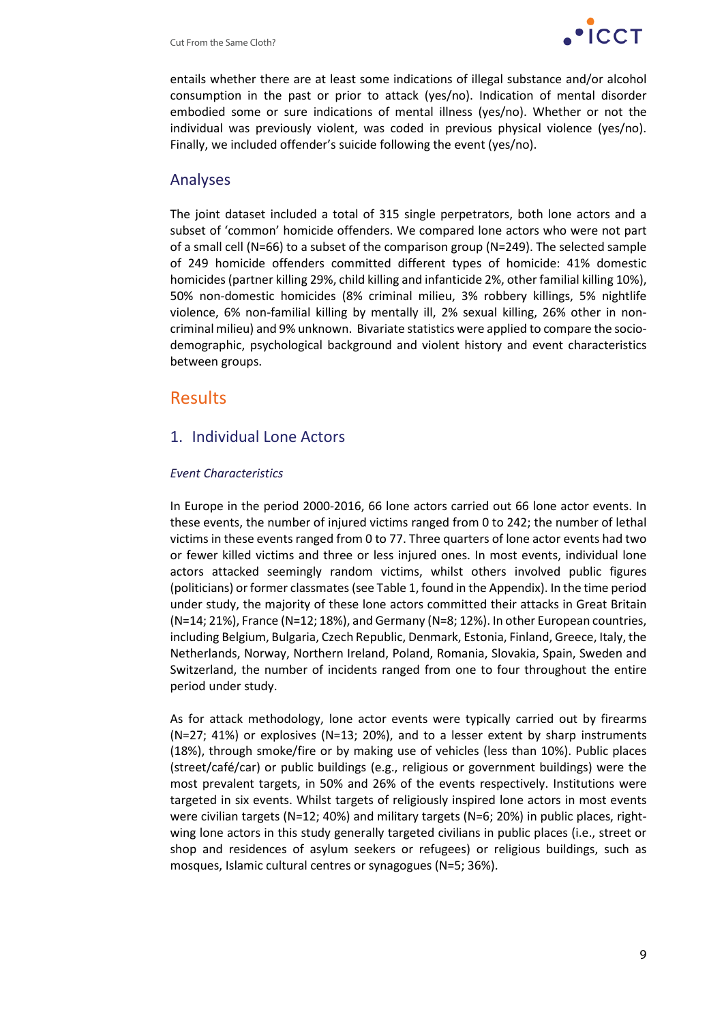

entails whether there are at least some indications of illegal substance and/or alcohol consumption in the past or prior to attack (yes/no). Indication of mental disorder embodied some or sure indications of mental illness (yes/no). Whether or not the individual was previously violent, was coded in previous physical violence (yes/no). Finally, we included offender's suicide following the event (yes/no).

### Analyses

The joint dataset included a total of 315 single perpetrators, both lone actors and a subset of 'common' homicide offenders. We compared lone actors who were not part of a small cell (N=66) to a subset of the comparison group (N=249). The selected sample of 249 homicide offenders committed different types of homicide: 41% domestic homicides (partner killing 29%, child killing and infanticide 2%, other familial killing 10%), 50% non-domestic homicides (8% criminal milieu, 3% robbery killings, 5% nightlife violence, 6% non-familial killing by mentally ill, 2% sexual killing, 26% other in noncriminal milieu) and 9% unknown. Bivariate statistics were applied to compare the sociodemographic, psychological background and violent history and event characteristics between groups.

## Results

## 1. Individual Lone Actors

#### *Event Characteristics*

In Europe in the period 2000-2016, 66 lone actors carried out 66 lone actor events. In these events, the number of injured victims ranged from 0 to 242; the number of lethal victims in these events ranged from 0 to 77. Three quarters of lone actor events had two or fewer killed victims and three or less injured ones. In most events, individual lone actors attacked seemingly random victims, whilst others involved public figures (politicians) or former classmates (see Table 1, found in the Appendix). In the time period under study, the majority of these lone actors committed their attacks in Great Britain (N=14; 21%), France (N=12; 18%), and Germany (N=8; 12%). In other European countries, including Belgium, Bulgaria, Czech Republic, Denmark, Estonia, Finland, Greece, Italy, the Netherlands, Norway, Northern Ireland, Poland, Romania, Slovakia, Spain, Sweden and Switzerland, the number of incidents ranged from one to four throughout the entire period under study.

As for attack methodology, lone actor events were typically carried out by firearms (N=27; 41%) or explosives (N=13; 20%), and to a lesser extent by sharp instruments (18%), through smoke/fire or by making use of vehicles (less than 10%). Public places (street/café/car) or public buildings (e.g., religious or government buildings) were the most prevalent targets, in 50% and 26% of the events respectively. Institutions were targeted in six events. Whilst targets of religiously inspired lone actors in most events were civilian targets (N=12; 40%) and military targets (N=6; 20%) in public places, rightwing lone actors in this study generally targeted civilians in public places (i.e., street or shop and residences of asylum seekers or refugees) or religious buildings, such as mosques, Islamic cultural centres or synagogues (N=5; 36%).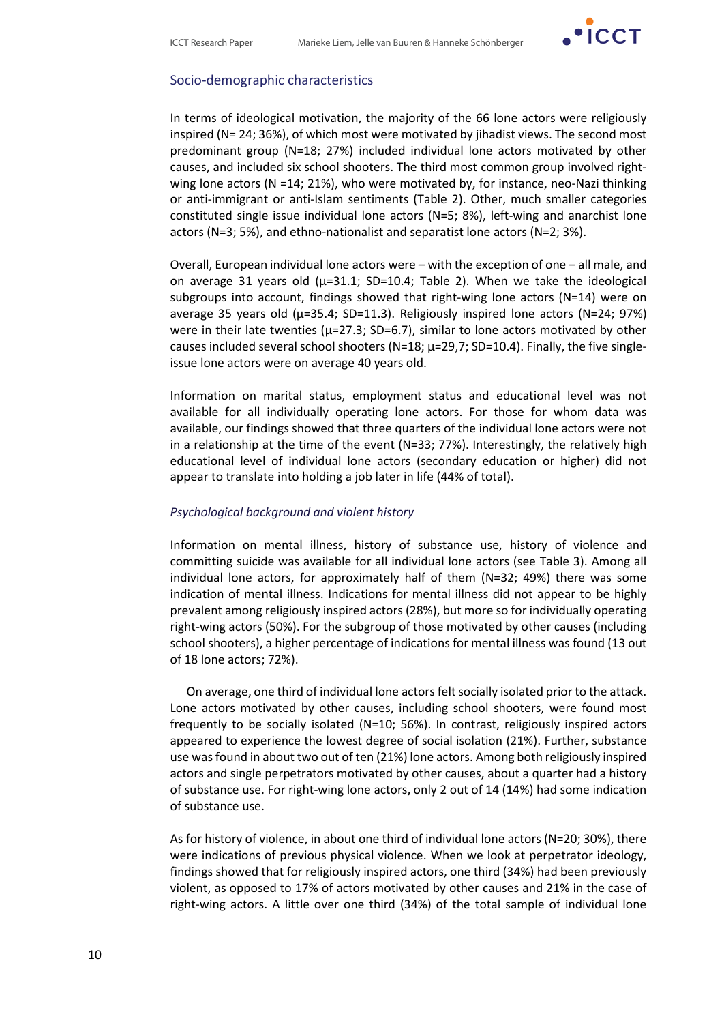

#### Socio-demographic characteristics

In terms of ideological motivation, the majority of the 66 lone actors were religiously inspired (N= 24; 36%), of which most were motivated by jihadist views. The second most predominant group (N=18; 27%) included individual lone actors motivated by other causes, and included six school shooters. The third most common group involved rightwing lone actors ( $N = 14$ ; 21%), who were motivated by, for instance, neo-Nazi thinking or anti-immigrant or anti-Islam sentiments (Table 2). Other, much smaller categories constituted single issue individual lone actors (N=5; 8%), left-wing and anarchist lone actors (N=3; 5%), and ethno-nationalist and separatist lone actors (N=2; 3%).

Overall, European individual lone actors were – with the exception of one – all male, and on average 31 years old ( $\mu$ =31.1; SD=10.4; Table 2). When we take the ideological subgroups into account, findings showed that right-wing lone actors (N=14) were on average 35 years old ( $\mu$ =35.4; SD=11.3). Religiously inspired lone actors (N=24; 97%) were in their late twenties ( $\mu$ =27.3; SD=6.7), similar to lone actors motivated by other causes included several school shooters (N=18;  $\mu$ =29,7; SD=10.4). Finally, the five singleissue lone actors were on average 40 years old.

Information on marital status, employment status and educational level was not available for all individually operating lone actors. For those for whom data was available, our findings showed that three quarters of the individual lone actors were not in a relationship at the time of the event ( $N=33$ ; 77%). Interestingly, the relatively high educational level of individual lone actors (secondary education or higher) did not appear to translate into holding a job later in life (44% of total).

#### *Psychological background and violent history*

Information on mental illness, history of substance use, history of violence and committing suicide was available for all individual lone actors (see Table 3). Among all individual lone actors, for approximately half of them (N=32; 49%) there was some indication of mental illness. Indications for mental illness did not appear to be highly prevalent among religiously inspired actors (28%), but more so for individually operating right-wing actors (50%). For the subgroup of those motivated by other causes (including school shooters), a higher percentage of indications for mental illness was found (13 out of 18 lone actors; 72%).

On average, one third of individual lone actors felt socially isolated prior to the attack. Lone actors motivated by other causes, including school shooters, were found most frequently to be socially isolated (N=10; 56%). In contrast, religiously inspired actors appeared to experience the lowest degree of social isolation (21%). Further, substance use was found in about two out of ten (21%) lone actors. Among both religiously inspired actors and single perpetrators motivated by other causes, about a quarter had a history of substance use. For right-wing lone actors, only 2 out of 14 (14%) had some indication of substance use.

As for history of violence, in about one third of individual lone actors (N=20; 30%), there were indications of previous physical violence. When we look at perpetrator ideology, findings showed that for religiously inspired actors, one third (34%) had been previously violent, as opposed to 17% of actors motivated by other causes and 21% in the case of right-wing actors. A little over one third (34%) of the total sample of individual lone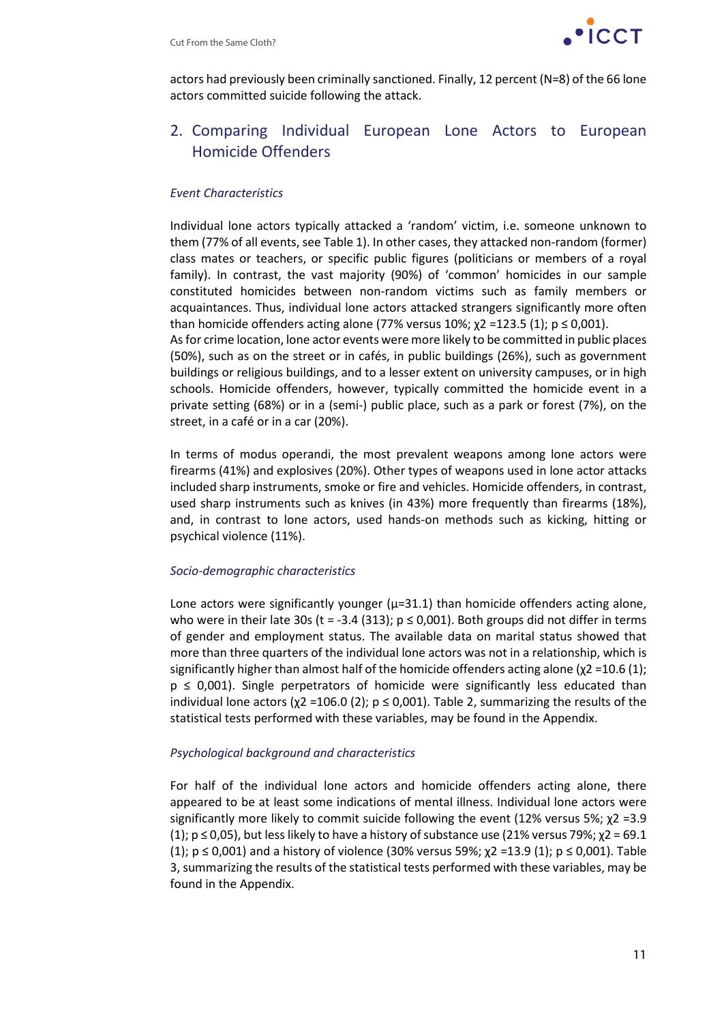

actors had previously been criminally sanctioned. Finally, 12 percent (N=8) of the 66 lone actors committed suicide following the attack.

## 2. Comparing Individual European Lone Actors to European Homicide Offenders

#### *Event Characteristics*

Individual lone actors typically attacked a 'random' victim, i.e. someone unknown to them (77% of all events, see Table 1). In other cases, they attacked non-random (former) class mates or teachers, or specific public figures (politicians or members of a royal family). In contrast, the vast majority (90%) of 'common' homicides in our sample constituted homicides between non-random victims such as family members or acquaintances. Thus, individual lone actors attacked strangers significantly more often than homicide offenders acting alone (77% versus 10%;  $\chi$ 2 =123.5 (1);  $p \le 0.001$ ). As for crime location, lone actor events were more likely to be committed in public places (50%), such as on the street or in cafés, in public buildings (26%), such as government buildings or religious buildings, and to a lesser extent on university campuses, or in high schools. Homicide offenders, however, typically committed the homicide event in a private setting (68%) or in a (semi-) public place, such as a park or forest (7%), on the

street, in a café or in a car (20%).

In terms of modus operandi, the most prevalent weapons among lone actors were firearms (41%) and explosives (20%). Other types of weapons used in lone actor attacks included sharp instruments, smoke or fire and vehicles. Homicide offenders, in contrast, used sharp instruments such as knives (in 43%) more frequently than firearms (18%), and, in contrast to lone actors, used hands-on methods such as kicking, hitting or psychical violence (11%).

#### *Socio-demographic characteristics*

Lone actors were significantly younger  $(\mu=31.1)$  than homicide offenders acting alone, who were in their late 30s (t = -3.4 (313);  $p \le 0.001$ ). Both groups did not differ in terms of gender and employment status. The available data on marital status showed that more than three quarters of the individual lone actors was not in a relationship, which is significantly higher than almost half of the homicide offenders acting alone ( $\chi$ 2 = 10.6 (1);  $p \le 0,001$ ). Single perpetrators of homicide were significantly less educated than individual lone actors ( $\chi$ 2 = 106.0 (2); p  $\leq$  0,001). Table 2, summarizing the results of the statistical tests performed with these variables, may be found in the Appendix.

#### *Psychological background and characteristics*

For half of the individual lone actors and homicide offenders acting alone, there appeared to be at least some indications of mental illness. Individual lone actors were significantly more likely to commit suicide following the event (12% versus 5%;  $\chi$ 2 =3.9 (1);  $p \le 0.05$ ), but less likely to have a history of substance use (21% versus 79%;  $\chi$ 2 = 69.1 (1);  $p \le 0.001$ ) and a history of violence (30% versus 59%;  $\chi$ 2 = 13.9 (1);  $p \le 0.001$ ). Table 3, summarizing the results of the statistical tests performed with these variables, may be found in the Appendix.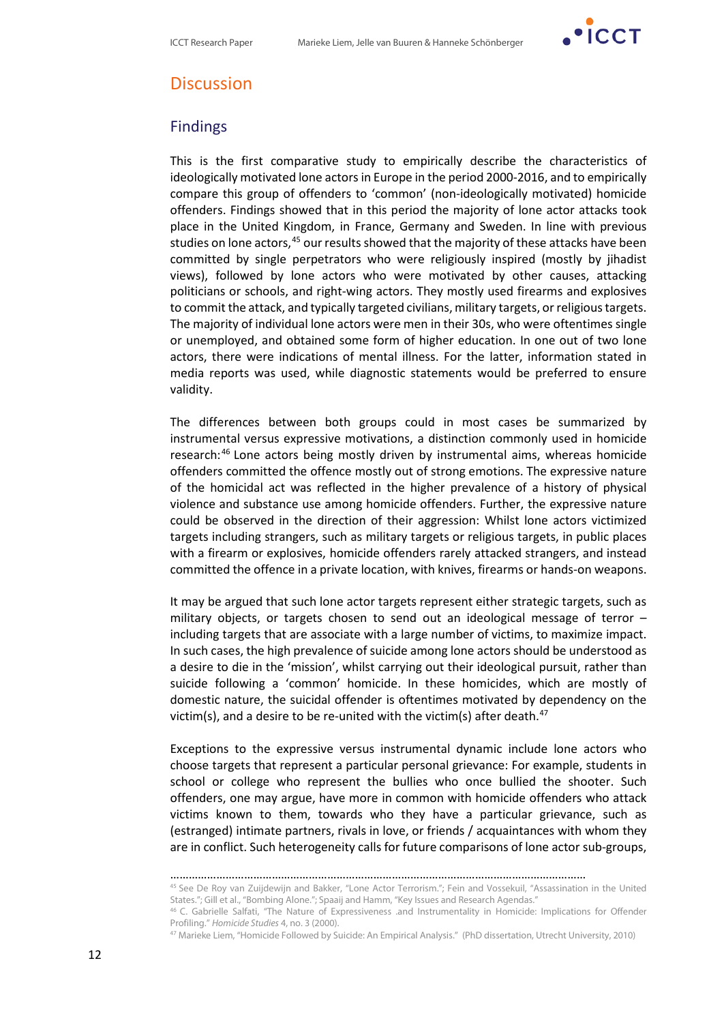

## **Discussion**

### **Findings**

This is the first comparative study to empirically describe the characteristics of ideologically motivated lone actors in Europe in the period 2000-2016, and to empirically compare this group of offenders to 'common' (non-ideologically motivated) homicide offenders. Findings showed that in this period the majority of lone actor attacks took place in the United Kingdom, in France, Germany and Sweden. In line with previous studies on lone actors,<sup>[45](#page-11-0)</sup> our results showed that the majority of these attacks have been committed by single perpetrators who were religiously inspired (mostly by jihadist views), followed by lone actors who were motivated by other causes, attacking politicians or schools, and right-wing actors. They mostly used firearms and explosives to commit the attack, and typically targeted civilians, military targets, or religious targets. The majority of individual lone actors were men in their 30s, who were oftentimes single or unemployed, and obtained some form of higher education. In one out of two lone actors, there were indications of mental illness. For the latter, information stated in media reports was used, while diagnostic statements would be preferred to ensure validity.

The differences between both groups could in most cases be summarized by instrumental versus expressive motivations, a distinction commonly used in homicide research:[46](#page-11-1) Lone actors being mostly driven by instrumental aims, whereas homicide offenders committed the offence mostly out of strong emotions. The expressive nature of the homicidal act was reflected in the higher prevalence of a history of physical violence and substance use among homicide offenders. Further, the expressive nature could be observed in the direction of their aggression: Whilst lone actors victimized targets including strangers, such as military targets or religious targets, in public places with a firearm or explosives, homicide offenders rarely attacked strangers, and instead committed the offence in a private location, with knives, firearms or hands-on weapons.

It may be argued that such lone actor targets represent either strategic targets, such as military objects, or targets chosen to send out an ideological message of terror – including targets that are associate with a large number of victims, to maximize impact. In such cases, the high prevalence of suicide among lone actors should be understood as a desire to die in the 'mission', whilst carrying out their ideological pursuit, rather than suicide following a 'common' homicide. In these homicides, which are mostly of domestic nature, the suicidal offender is oftentimes motivated by dependency on the victim(s), and a desire to be re-united with the victim(s) after death.<sup>[47](#page-11-2)</sup>

Exceptions to the expressive versus instrumental dynamic include lone actors who choose targets that represent a particular personal grievance: For example, students in school or college who represent the bullies who once bullied the shooter. Such offenders, one may argue, have more in common with homicide offenders who attack victims known to them, towards who they have a particular grievance, such as (estranged) intimate partners, rivals in love, or friends / acquaintances with whom they are in conflict. Such heterogeneity calls for future comparisons of lone actor sub-groups,

<sup>………………………………………………………………………………………………………………………</sup>

<span id="page-11-1"></span><span id="page-11-0"></span><sup>45</sup> See De Roy van Zuijdewijn and Bakker, "Lone Actor Terrorism."; Fein and Vossekuil, "Assassination in the United States."; Gill et al., "Bombing Alone."; Spaaij and Hamm, "Key Issues and Research Agendas."

<span id="page-11-2"></span><sup>&</sup>lt;sup>46</sup> C. Gabrielle Salfati, "The Nature of Expressiveness .and Instrumentality in Homicide: Implications for Offender Profiling." *Homicide Studies 4*, no. 3 (2000).<br><sup>47</sup> Marieke Liem, "Homicide Followed by Suicide: An Empirical Analysis." (PhD dissertation, Utrecht University, 2010)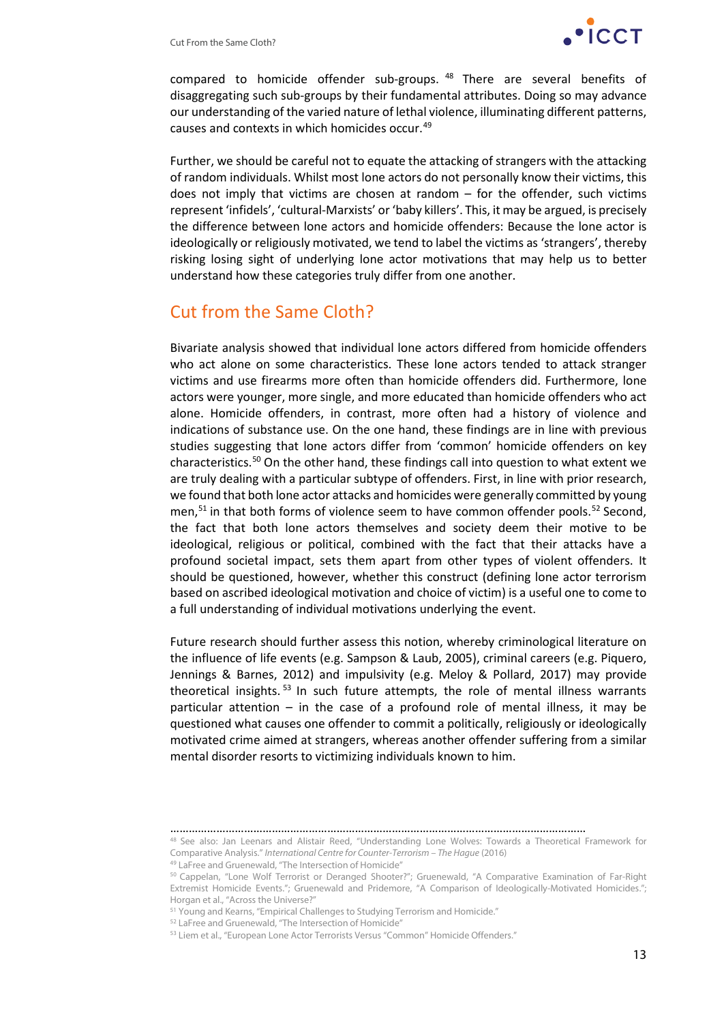

compared to homicide offender sub-groups. [48](#page-12-0) There are several benefits of disaggregating such sub-groups by their fundamental attributes. Doing so may advance our understanding of the varied nature of lethal violence, illuminating different patterns, causes and contexts in which homicides occur.[49](#page-12-1)

Further, we should be careful not to equate the attacking of strangers with the attacking of random individuals. Whilst most lone actors do not personally know their victims, this does not imply that victims are chosen at random – for the offender, such victims represent 'infidels', 'cultural-Marxists' or 'baby killers'. This, it may be argued, is precisely the difference between lone actors and homicide offenders: Because the lone actor is ideologically or religiously motivated, we tend to label the victims as 'strangers', thereby risking losing sight of underlying lone actor motivations that may help us to better understand how these categories truly differ from one another.

## Cut from the Same Cloth?

Bivariate analysis showed that individual lone actors differed from homicide offenders who act alone on some characteristics. These lone actors tended to attack stranger victims and use firearms more often than homicide offenders did. Furthermore, lone actors were younger, more single, and more educated than homicide offenders who act alone. Homicide offenders, in contrast, more often had a history of violence and indications of substance use. On the one hand, these findings are in line with previous studies suggesting that lone actors differ from 'common' homicide offenders on key characteristics. [50](#page-12-2) On the other hand, these findings call into question to what extent we are truly dealing with a particular subtype of offenders. First, in line with prior research, we found that both lone actor attacks and homicides were generally committed by young men,<sup>[51](#page-12-3)</sup> in that both forms of violence seem to have common offender pools.<sup>[52](#page-12-4)</sup> Second, the fact that both lone actors themselves and society deem their motive to be ideological, religious or political, combined with the fact that their attacks have a profound societal impact, sets them apart from other types of violent offenders. It should be questioned, however, whether this construct (defining lone actor terrorism based on ascribed ideological motivation and choice of victim) is a useful one to come to a full understanding of individual motivations underlying the event.

Future research should further assess this notion, whereby criminological literature on the influence of life events (e.g. Sampson & Laub, 2005), criminal careers (e.g. Piquero, Jennings & Barnes, 2012) and impulsivity (e.g. Meloy & Pollard, 2017) may provide theoretical insights.<sup>[53](#page-12-5)</sup> In such future attempts, the role of mental illness warrants particular attention – in the case of a profound role of mental illness, it may be questioned what causes one offender to commit a politically, religiously or ideologically motivated crime aimed at strangers, whereas another offender suffering from a similar mental disorder resorts to victimizing individuals known to him.

<span id="page-12-0"></span><sup>………………………………………………………………………………………………………………………</sup> 48 See also: Jan Leenars and Alistair Reed, "Understanding Lone Wolves: Towards a Theoretical Framework for

Comparative Analysis." *International Centre for Counter-Terrorism – The Hague* (2016)

<sup>49</sup> LaFree and Gruenewald, "The Intersection of Homicide"

<span id="page-12-2"></span><span id="page-12-1"></span><sup>50</sup> Cappelan, "Lone Wolf Terrorist or Deranged Shooter?"; Gruenewald, "A Comparative Examination of Far-Right Extremist Homicide Events."; Gruenewald and Pridemore, "A Comparison of Ideologically-Motivated Homicides."; Horgan et al., "Across the Universe?"

<sup>51</sup> Young and Kearns, "Empirical Challenges to Studying Terrorism and Homicide."

<span id="page-12-4"></span><span id="page-12-3"></span><sup>52</sup> LaFree and Gruenewald, "The Intersection of Homicide"

<span id="page-12-5"></span><sup>&</sup>lt;sup>53</sup> Liem et al., "European Lone Actor Terrorists Versus "Common" Homicide Offenders."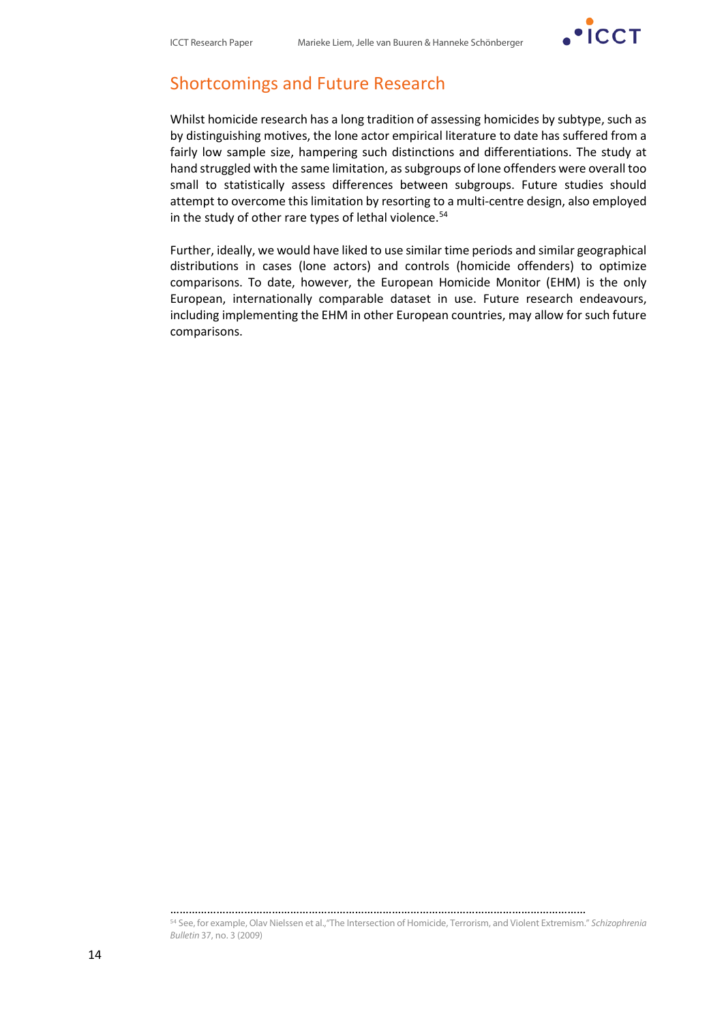

## Shortcomings and Future Research

Whilst homicide research has a long tradition of assessing homicides by subtype, such as by distinguishing motives, the lone actor empirical literature to date has suffered from a fairly low sample size, hampering such distinctions and differentiations. The study at hand struggled with the same limitation, as subgroups of lone offenders were overall too small to statistically assess differences between subgroups. Future studies should attempt to overcome this limitation by resorting to a multi-centre design, also employed in the study of other rare types of lethal violence. [54](#page-13-0)

Further, ideally, we would have liked to use similar time periods and similar geographical distributions in cases (lone actors) and controls (homicide offenders) to optimize comparisons. To date, however, the European Homicide Monitor (EHM) is the only European, internationally comparable dataset in use. Future research endeavours, including implementing the EHM in other European countries, may allow for such future comparisons.

<span id="page-13-0"></span><sup>54</sup> See, for example, Olav Nielssen et al.,"The Intersection of Homicide, Terrorism, and Violent Extremism." *Schizophrenia Bulletin* 37, no. 3 (2009)

………………………………………………………………………………………………………………………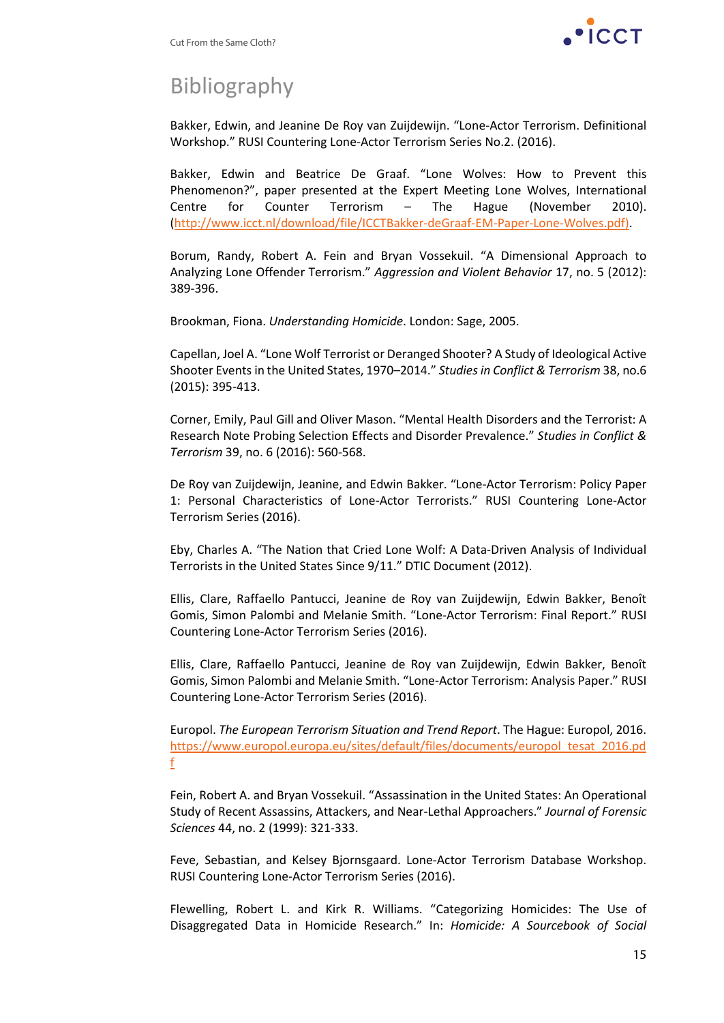

## Bibliography

Bakker, Edwin, and Jeanine De Roy van Zuijdewijn. "Lone-Actor Terrorism. Definitional Workshop." RUSI Countering Lone-Actor Terrorism Series No.2. (2016).

Bakker, Edwin and Beatrice De Graaf. "Lone Wolves: How to Prevent this Phenomenon?", paper presented at the Expert Meeting Lone Wolves, International Centre for Counter Terrorism – The Hague (November 2010). [\(http://www.icct.nl/download/file/ICCTBakker-deGraaf-EM-Paper-Lone-Wolves.pdf\).](http://www.icct.nl/download/file/ICCTBakker-deGraaf-EM-Paper-Lone-Wolves.pdf))

Borum, Randy, Robert A. Fein and Bryan Vossekuil. "A Dimensional Approach to Analyzing Lone Offender Terrorism." *Aggression and Violent Behavior* 17, no. 5 (2012): 389-396.

Brookman, Fiona. *Understanding Homicide*. London: Sage, 2005.

Capellan, Joel A. "Lone Wolf Terrorist or Deranged Shooter? A Study of Ideological Active Shooter Events in the United States, 1970–2014." *Studies in Conflict & Terrorism* 38, no.6 (2015): 395-413.

Corner, Emily, Paul Gill and Oliver Mason. "Mental Health Disorders and the Terrorist: A Research Note Probing Selection Effects and Disorder Prevalence." *Studies in Conflict & Terrorism* 39, no. 6 (2016): 560-568.

De Roy van Zuijdewijn, Jeanine, and Edwin Bakker. "Lone-Actor Terrorism: Policy Paper 1: Personal Characteristics of Lone-Actor Terrorists." RUSI Countering Lone-Actor Terrorism Series (2016).

Eby, Charles A. "The Nation that Cried Lone Wolf: A Data-Driven Analysis of Individual Terrorists in the United States Since 9/11." DTIC Document (2012).

Ellis, Clare, Raffaello Pantucci, Jeanine de Roy van Zuijdewijn, Edwin Bakker, Benoît Gomis, Simon Palombi and Melanie Smith. "Lone-Actor Terrorism: Final Report." RUSI Countering Lone-Actor Terrorism Series (2016).

Ellis, Clare, Raffaello Pantucci, Jeanine de Roy van Zuijdewijn, Edwin Bakker, Benoît Gomis, Simon Palombi and Melanie Smith. "Lone-Actor Terrorism: Analysis Paper." RUSI Countering Lone-Actor Terrorism Series (2016).

Europol. *The European Terrorism Situation and Trend Report*. The Hague: Europol, 2016. [https://www.europol.europa.eu/sites/default/files/documents/europol\\_tesat\\_2016.pd](https://www.europol.europa.eu/sites/default/files/documents/europol_tesat_2016.pdf) [f](https://www.europol.europa.eu/sites/default/files/documents/europol_tesat_2016.pdf)

Fein, Robert A. and Bryan Vossekuil. "Assassination in the United States: An Operational Study of Recent Assassins, Attackers, and Near-Lethal Approachers." *Journal of Forensic Sciences* 44, no. 2 (1999): 321-333.

Feve, Sebastian, and Kelsey Bjornsgaard. Lone-Actor Terrorism Database Workshop. RUSI Countering Lone-Actor Terrorism Series (2016).

Flewelling, Robert L. and Kirk R. Williams. "Categorizing Homicides: The Use of Disaggregated Data in Homicide Research." In: *Homicide: A Sourcebook of Social*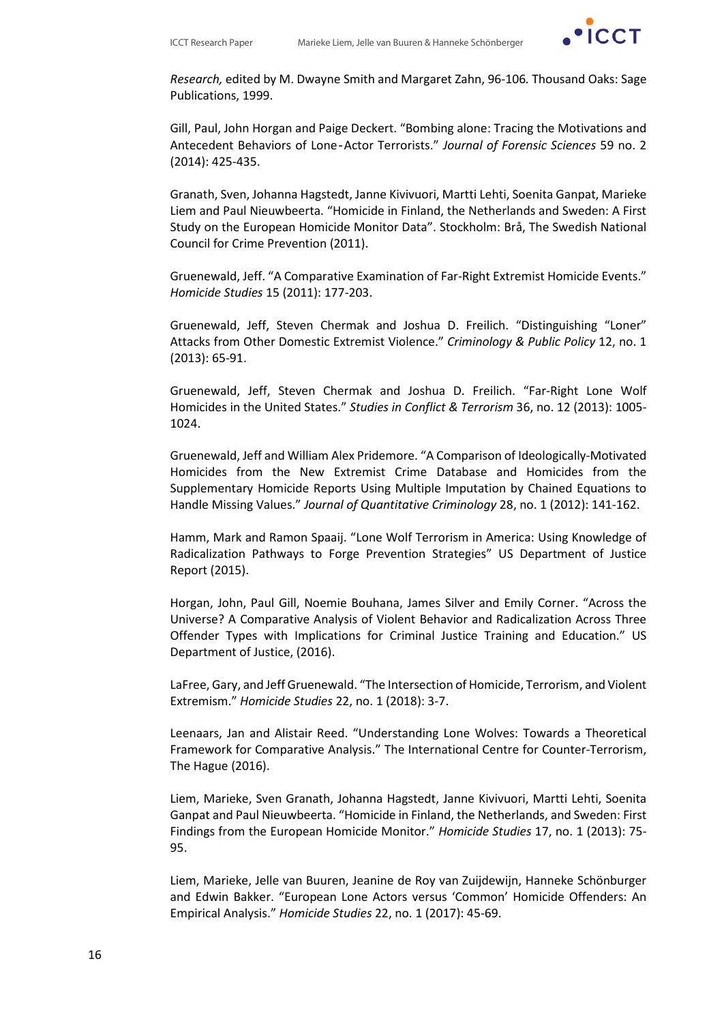

*Research,* edited by M. Dwayne Smith and Margaret Zahn, 96-106*.* Thousand Oaks: Sage Publications, 1999.

Gill, Paul, John Horgan and Paige Deckert. "Bombing alone: Tracing the Motivations and Antecedent Behaviors of Lone‐Actor Terrorists." *Journal of Forensic Sciences* 59 no. 2 (2014): 425-435.

Granath, Sven, Johanna Hagstedt, Janne Kivivuori, Martti Lehti, Soenita Ganpat, Marieke Liem and Paul Nieuwbeerta. "Homicide in Finland, the Netherlands and Sweden: A First Study on the European Homicide Monitor Data". Stockholm: Brå, The Swedish National Council for Crime Prevention (2011).

Gruenewald, Jeff. "A Comparative Examination of Far-Right Extremist Homicide Events." *Homicide Studies* 15 (2011): 177-203.

Gruenewald, Jeff, Steven Chermak and Joshua D. Freilich. "Distinguishing "Loner" Attacks from Other Domestic Extremist Violence." *Criminology & Public Policy* 12, no. 1 (2013): 65-91.

Gruenewald, Jeff, Steven Chermak and Joshua D. Freilich. "Far-Right Lone Wolf Homicides in the United States." *Studies in Conflict & Terrorism* 36, no. 12 (2013): 1005- 1024.

Gruenewald, Jeff and William Alex Pridemore. "A Comparison of Ideologically-Motivated Homicides from the New Extremist Crime Database and Homicides from the Supplementary Homicide Reports Using Multiple Imputation by Chained Equations to Handle Missing Values." *Journal of Quantitative Criminology* 28, no. 1 (2012): 141-162.

Hamm, Mark and Ramon Spaaij. "Lone Wolf Terrorism in America: Using Knowledge of Radicalization Pathways to Forge Prevention Strategies" US Department of Justice Report (2015).

Horgan, John, Paul Gill, Noemie Bouhana, James Silver and Emily Corner. "Across the Universe? A Comparative Analysis of Violent Behavior and Radicalization Across Three Offender Types with Implications for Criminal Justice Training and Education." US Department of Justice, (2016).

LaFree, Gary, and Jeff Gruenewald. "The Intersection of Homicide, Terrorism, and Violent Extremism." *Homicide Studies* 22, no. 1 (2018): 3-7.

Leenaars, Jan and Alistair Reed. "Understanding Lone Wolves: Towards a Theoretical Framework for Comparative Analysis." The International Centre for Counter-Terrorism, The Hague (2016).

Liem, Marieke, Sven Granath, Johanna Hagstedt, Janne Kivivuori, Martti Lehti, Soenita Ganpat and Paul Nieuwbeerta. "Homicide in Finland, the Netherlands, and Sweden: First Findings from the European Homicide Monitor." *Homicide Studies* 17, no. 1 (2013): 75- 95.

Liem, Marieke, Jelle van Buuren, Jeanine de Roy van Zuijdewijn, Hanneke Schönburger and Edwin Bakker. "European Lone Actors versus 'Common' Homicide Offenders: An Empirical Analysis." *Homicide Studies* 22, no. 1 (2017): 45-69.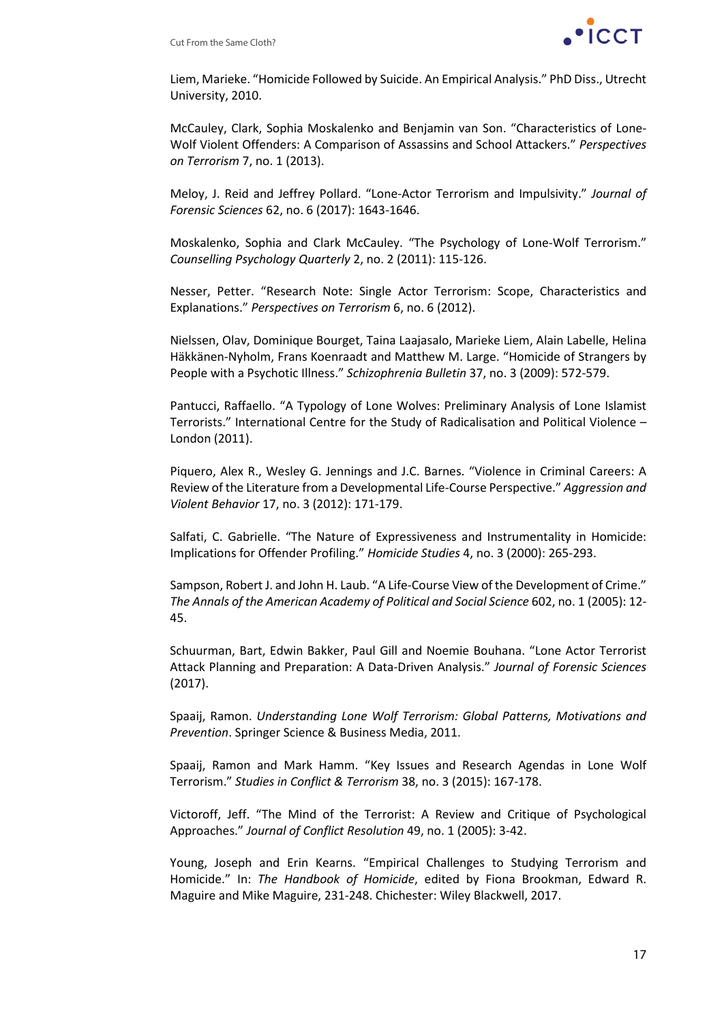

Liem, Marieke. "Homicide Followed by Suicide. An Empirical Analysis." PhD Diss., Utrecht University, 2010.

McCauley, Clark, Sophia Moskalenko and Benjamin van Son. "Characteristics of Lone-Wolf Violent Offenders: A Comparison of Assassins and School Attackers." *Perspectives on Terrorism* 7, no. 1 (2013).

Meloy, J. Reid and Jeffrey Pollard. "Lone-Actor Terrorism and Impulsivity." *Journal of Forensic Sciences* 62, no. 6 (2017): 1643-1646.

Moskalenko, Sophia and Clark McCauley. "The Psychology of Lone-Wolf Terrorism." *Counselling Psychology Quarterly* 2, no. 2 (2011): 115-126.

Nesser, Petter. "Research Note: Single Actor Terrorism: Scope, Characteristics and Explanations." *Perspectives on Terrorism* 6, no. 6 (2012).

Nielssen, Olav, Dominique Bourget, Taina Laajasalo, Marieke Liem, Alain Labelle, Helina Häkkänen-Nyholm, Frans Koenraadt and Matthew M. Large. "Homicide of Strangers by People with a Psychotic Illness." *Schizophrenia Bulletin* 37, no. 3 (2009): 572-579.

Pantucci, Raffaello. "A Typology of Lone Wolves: Preliminary Analysis of Lone Islamist Terrorists." International Centre for the Study of Radicalisation and Political Violence – London (2011).

Piquero, Alex R., Wesley G. Jennings and J.C. Barnes. "Violence in Criminal Careers: A Review of the Literature from a Developmental Life-Course Perspective." *Aggression and Violent Behavior* 17, no. 3 (2012): 171-179.

Salfati, C. Gabrielle. "The Nature of Expressiveness and Instrumentality in Homicide: Implications for Offender Profiling." *Homicide Studies* 4, no. 3 (2000): 265-293.

Sampson, Robert J. and John H. Laub. "A Life-Course View of the Development of Crime." *The Annals of the American Academy of Political and Social Science* 602, no. 1 (2005): 12- 45.

Schuurman, Bart, Edwin Bakker, Paul Gill and Noemie Bouhana. "Lone Actor Terrorist Attack Planning and Preparation: A Data-Driven Analysis." *Journal of Forensic Sciences* (2017).

Spaaij, Ramon. *Understanding Lone Wolf Terrorism: Global Patterns, Motivations and Prevention*. Springer Science & Business Media, 2011.

Spaaij, Ramon and Mark Hamm. "Key Issues and Research Agendas in Lone Wolf Terrorism." *Studies in Conflict & Terrorism* 38, no. 3 (2015): 167-178.

Victoroff, Jeff. "The Mind of the Terrorist: A Review and Critique of Psychological Approaches." *Journal of Conflict Resolution* 49, no. 1 (2005): 3-42.

Young, Joseph and Erin Kearns. "Empirical Challenges to Studying Terrorism and Homicide." In: *The Handbook of Homicide*, edited by Fiona Brookman, Edward R. Maguire and Mike Maguire, 231-248. Chichester: Wiley Blackwell, 2017.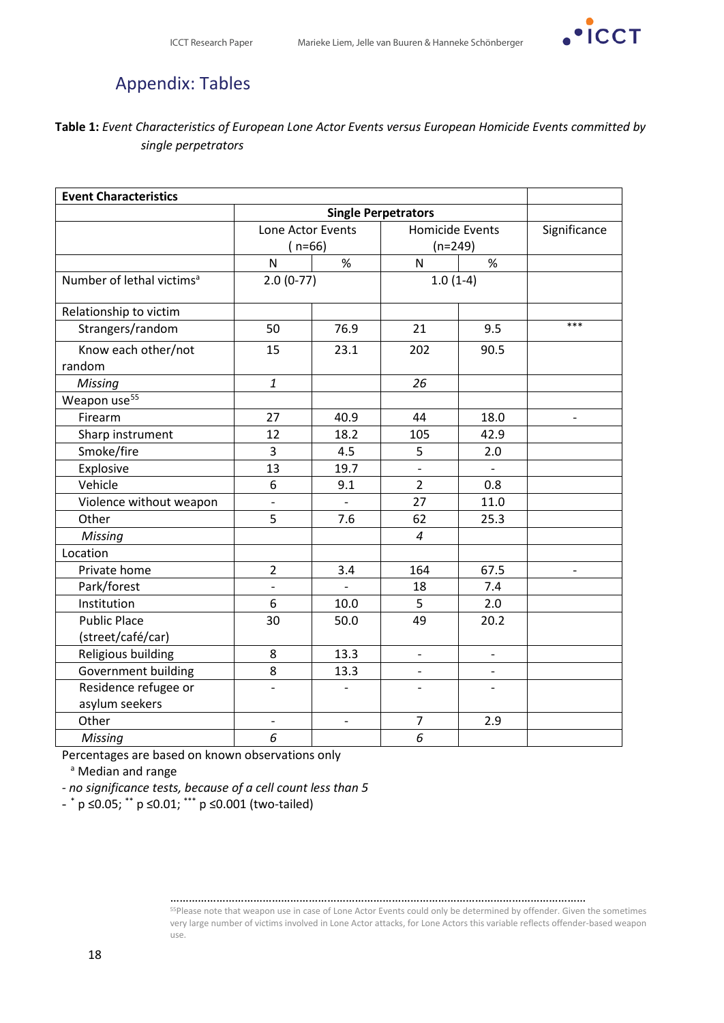

## Appendix: Tables

#### **Table 1:** *Event Characteristics of European Lone Actor Events versus European Homicide Events committed by single perpetrators*

| <b>Event Characteristics</b>             |                          |                          |                          |                          |              |
|------------------------------------------|--------------------------|--------------------------|--------------------------|--------------------------|--------------|
|                                          |                          |                          |                          |                          |              |
|                                          | Lone Actor Events        |                          | <b>Homicide Events</b>   |                          | Significance |
|                                          | $(n=66)$                 |                          | $(n=249)$                |                          |              |
|                                          | $\mathsf{N}$             | $\%$                     | N                        | $\%$                     |              |
| Number of lethal victims <sup>a</sup>    | $2.0(0-77)$              |                          | $1.0(1-4)$               |                          |              |
| Relationship to victim                   |                          |                          |                          |                          |              |
| Strangers/random                         | 50                       | 76.9                     | 21                       | 9.5                      | ***          |
| Know each other/not<br>random            | 15                       | 23.1                     | 202                      | 90.5                     |              |
| Missing                                  | $\mathbf{1}$             |                          | 26                       |                          |              |
| Weapon use <sup>55</sup>                 |                          |                          |                          |                          |              |
| Firearm                                  | 27                       | 40.9                     | 44                       | 18.0                     |              |
| Sharp instrument                         | 12                       | 18.2                     | 105                      | 42.9                     |              |
| Smoke/fire                               | 3                        | 4.5                      | 5                        | 2.0                      |              |
| Explosive                                | 13                       | 19.7                     | $\frac{1}{2}$            |                          |              |
| Vehicle                                  | 6                        | 9.1                      | $\overline{2}$           | 0.8                      |              |
| Violence without weapon                  | $\overline{a}$           |                          | 27                       | 11.0                     |              |
| Other                                    | 5                        | 7.6                      | 62                       | 25.3                     |              |
| Missing                                  |                          |                          | $\overline{a}$           |                          |              |
| Location                                 |                          |                          |                          |                          |              |
| Private home                             | $\overline{2}$           | 3.4                      | 164                      | 67.5                     |              |
| Park/forest                              | $\overline{a}$           |                          | 18                       | 7.4                      |              |
| Institution                              | 6                        | 10.0                     | 5                        | 2.0                      |              |
| <b>Public Place</b><br>(street/café/car) | 30                       | 50.0                     | 49                       | 20.2                     |              |
| Religious building                       | 8                        | 13.3                     | $\overline{\phantom{0}}$ |                          |              |
| Government building                      | 8                        | 13.3                     | $\overline{\phantom{0}}$ | $\overline{\phantom{a}}$ |              |
| Residence refugee or<br>asylum seekers   | $\overline{\phantom{0}}$ | $\overline{\phantom{0}}$ | $\overline{a}$           |                          |              |
| Other                                    | $\overline{\phantom{0}}$ | $\overline{\phantom{m}}$ | $\overline{7}$           | 2.9                      |              |
| <b>Missing</b>                           | 6                        |                          | 6                        |                          |              |

Percentages are based on known observations only

a Median and range

*- no significance tests, because of a cell count less than 5*

<span id="page-17-0"></span>- \* p ≤0.05; \*\* p ≤0.01; \*\*\* p ≤0.001 (two-tailed)

………………………………………………………………………………………………………………………

<sup>55</sup>Please note that weapon use in case of Lone Actor Events could only be determined by offender. Given the sometimes very large number of victims involved in Lone Actor attacks, for Lone Actors this variable reflects offender-based weapon use.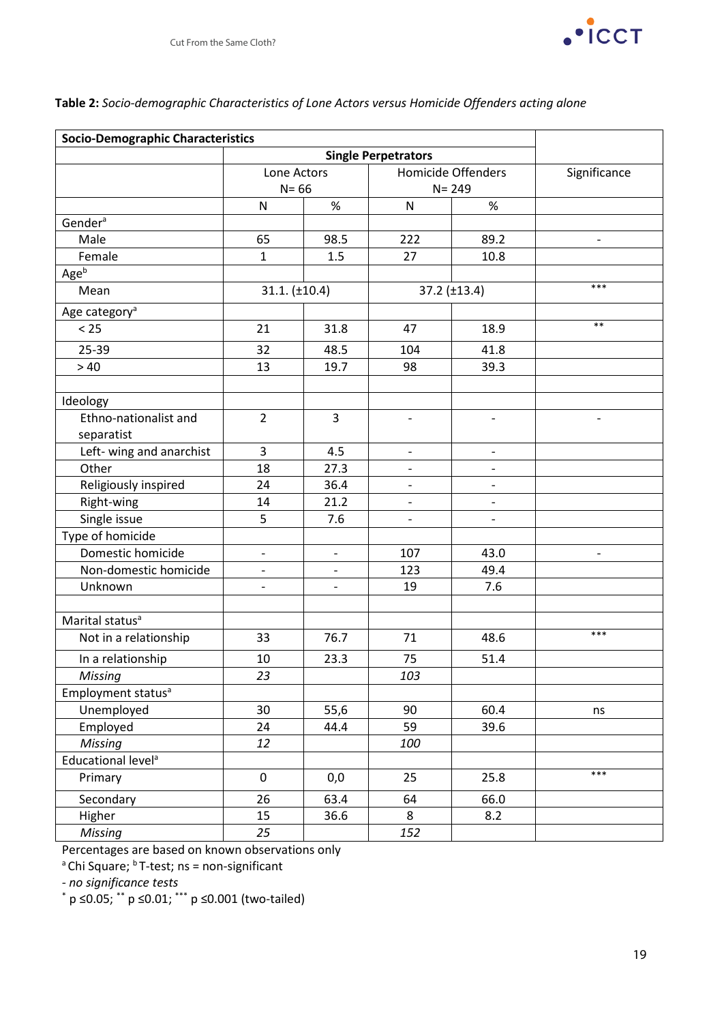

| <b>Socio-Demographic Characteristics</b> |                          |                          |                                                               |                          |                          |
|------------------------------------------|--------------------------|--------------------------|---------------------------------------------------------------|--------------------------|--------------------------|
|                                          | Lone Actors<br>$N = 66$  |                          | <b>Single Perpetrators</b><br>Homicide Offenders<br>$N = 249$ |                          | Significance             |
|                                          |                          |                          |                                                               |                          |                          |
|                                          | $\mathsf{N}$             | $\%$                     | ${\sf N}$                                                     | $\%$                     |                          |
| Gender <sup>a</sup>                      |                          |                          |                                                               |                          |                          |
| Male                                     | 65                       | 98.5                     | 222                                                           | 89.2                     | $\overline{\phantom{0}}$ |
| Female                                   | $\mathbf{1}$             | 1.5                      | 27                                                            | 10.8                     |                          |
| Age <sup>b</sup>                         |                          |                          |                                                               |                          |                          |
| Mean                                     | $31.1. (\pm 10.4)$       |                          | 37.2 (±13.4)                                                  |                          | $***$                    |
| Age category <sup>a</sup>                |                          |                          |                                                               |                          |                          |
| < 25                                     | 21                       | 31.8                     | 47                                                            | 18.9                     | $***$                    |
| 25-39                                    | 32                       | 48.5                     | 104                                                           | 41.8                     |                          |
| >40                                      | 13                       | 19.7                     | 98                                                            | 39.3                     |                          |
|                                          |                          |                          |                                                               |                          |                          |
| Ideology                                 |                          |                          |                                                               |                          |                          |
| Ethno-nationalist and                    | $\overline{2}$           | $\overline{3}$           |                                                               |                          |                          |
| separatist                               |                          |                          |                                                               |                          |                          |
| Left- wing and anarchist                 | 3                        | 4.5                      | $\overline{\phantom{0}}$                                      | $\overline{\phantom{0}}$ |                          |
| Other                                    | 18                       | 27.3                     |                                                               |                          |                          |
| Religiously inspired                     | 24                       | 36.4                     | $\qquad \qquad -$                                             | $\qquad \qquad -$        |                          |
| Right-wing                               | 14                       | 21.2                     | $\overline{\phantom{a}}$                                      | $\overline{\phantom{0}}$ |                          |
| Single issue                             | 5                        | 7.6                      |                                                               | $\overline{a}$           |                          |
| Type of homicide                         |                          |                          |                                                               |                          |                          |
| Domestic homicide                        | $\overline{\phantom{a}}$ | $\overline{\phantom{a}}$ | 107                                                           | 43.0                     | $\overline{\phantom{0}}$ |
| Non-domestic homicide                    | $\overline{\phantom{0}}$ |                          | 123                                                           | 49.4                     |                          |
| Unknown                                  |                          |                          | 19                                                            | 7.6                      |                          |
|                                          |                          |                          |                                                               |                          |                          |
| Marital status <sup>a</sup>              |                          |                          |                                                               |                          |                          |
| Not in a relationship                    | 33                       | 76.7                     | 71                                                            | 48.6                     | ***                      |
| In a relationship                        | 10                       | 23.3                     | 75                                                            | 51.4                     |                          |
| Missing                                  | 23                       |                          | 103                                                           |                          |                          |
| Employment status <sup>a</sup>           |                          |                          |                                                               |                          |                          |
| Unemployed                               | 30                       | 55,6                     | 90                                                            | 60.4                     | ns                       |
| Employed                                 | 24                       | 44.4                     | 59                                                            | 39.6                     |                          |
| <b>Missing</b>                           | 12                       |                          | 100                                                           |                          |                          |
| Educational level <sup>a</sup>           |                          |                          |                                                               |                          |                          |
| Primary                                  | $\pmb{0}$                | 0,0                      | 25                                                            | 25.8                     | $***$                    |
| Secondary                                | 26                       | 63.4                     | 64                                                            | 66.0                     |                          |
| Higher                                   | 15                       | 36.6                     | 8                                                             | 8.2                      |                          |
| Missing                                  | 25                       |                          | 152                                                           |                          |                          |

## **Table 2:** *Socio-demographic Characteristics of Lone Actors versus Homicide Offenders acting alone*

Percentages are based on known observations only

 $a^{\circ}$ Chi Square;  $b^{\circ}$ T-test; ns = non-significant

*- no significance tests*

\* p ≤0.05; \*\* p ≤0.01; \*\*\* p ≤0.001 (two-tailed)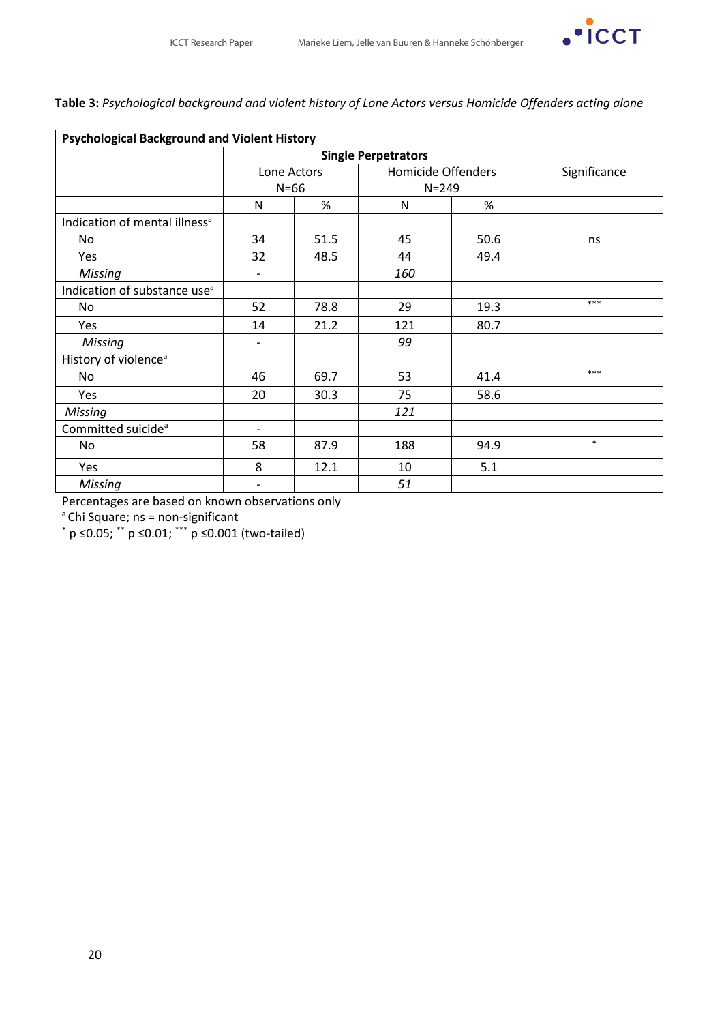

## **Table 3:** *Psychological background and violent history of Lone Actors versus Homicide Offenders acting alone*

| <b>Psychological Background and Violent History</b> |                          |                            |                                 |      |              |
|-----------------------------------------------------|--------------------------|----------------------------|---------------------------------|------|--------------|
|                                                     |                          | <b>Single Perpetrators</b> |                                 |      |              |
|                                                     | Lone Actors<br>$N=66$    |                            | Homicide Offenders<br>$N = 249$ |      | Significance |
|                                                     |                          |                            |                                 |      |              |
|                                                     | N                        | %                          | N                               | %    |              |
| Indication of mental illness <sup>a</sup>           |                          |                            |                                 |      |              |
| <b>No</b>                                           | 34                       | 51.5                       | 45                              | 50.6 | ns           |
| <b>Yes</b>                                          | 32                       | 48.5                       | 44                              | 49.4 |              |
| <b>Missing</b>                                      | $\overline{\phantom{0}}$ |                            | 160                             |      |              |
| Indication of substance use <sup>a</sup>            |                          |                            |                                 |      |              |
| No                                                  | 52                       | 78.8                       | 29                              | 19.3 | $***$        |
| Yes                                                 | 14                       | 21.2                       | 121                             | 80.7 |              |
| <b>Missing</b>                                      | -                        |                            | 99                              |      |              |
| History of violence <sup>a</sup>                    |                          |                            |                                 |      |              |
| No                                                  | 46                       | 69.7                       | 53                              | 41.4 | $***$        |
| Yes                                                 | 20                       | 30.3                       | 75                              | 58.6 |              |
| <b>Missing</b>                                      |                          |                            | 121                             |      |              |
| Committed suicide <sup>a</sup>                      | $\overline{\phantom{a}}$ |                            |                                 |      |              |
| No                                                  | 58                       | 87.9                       | 188                             | 94.9 | $\ast$       |
| Yes                                                 | 8                        | 12.1                       | 10                              | 5.1  |              |
| Missing                                             |                          |                            | 51                              |      |              |

Percentages are based on known observations only

 $a^2$ Chi Square; ns = non-significant

 $*$  p  $\leq$ 0.05;  $*$  p  $\leq$ 0.01;  $**$  p  $\leq$ 0.001 (two-tailed)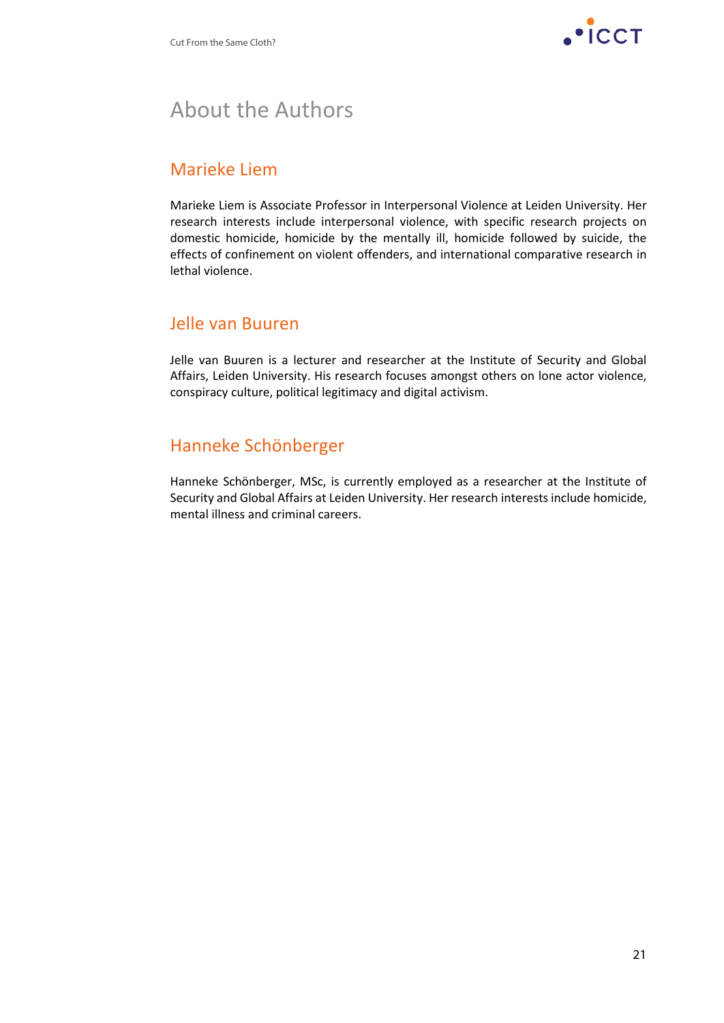

## About the Authors

## Marieke Liem

Marieke Liem is Associate Professor in Interpersonal Violence at Leiden University. Her research interests include interpersonal violence, with specific research projects on domestic homicide, homicide by the mentally ill, homicide followed by suicide, the effects of confinement on violent offenders, and international comparative research in lethal violence.

## Jelle van Buuren

Jelle van Buuren is a lecturer and researcher at the Institute of Security and Global Affairs, Leiden University. His research focuses amongst others on lone actor violence, conspiracy culture, political legitimacy and digital activism.

## Hanneke Schönberger

Hanneke Schönberger, MSc, is currently employed as a researcher at the Institute of Security and Global Affairs at Leiden University. Her research interests include homicide, mental illness and criminal careers.